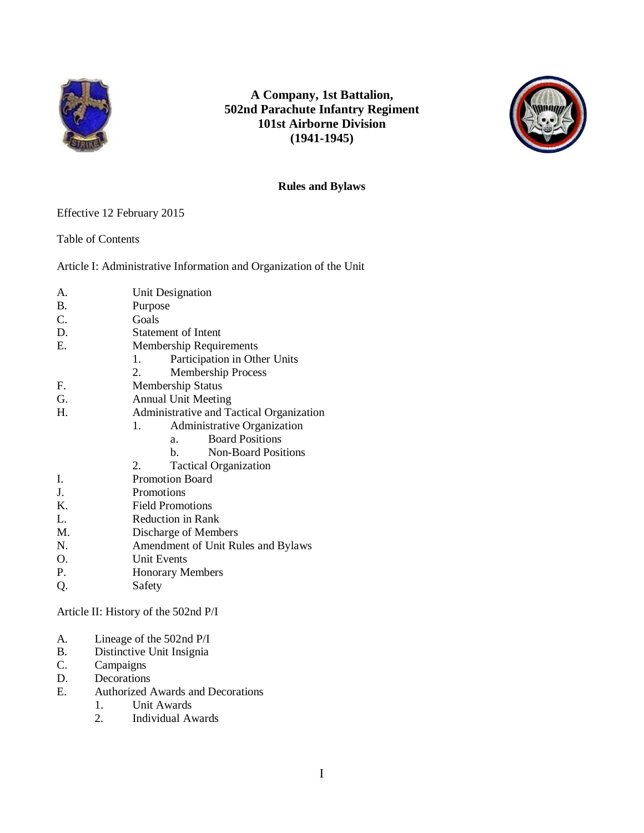

**A Company, 1st Battalion, 502nd Parachute Infantry Regiment 101st Airborne Division (1941-1945)**



**Rules and Bylaws**

Effective 12 February 2015

Table of Contents

Article I: Administrative Information and Organization of the Unit

| $\mathsf{A}$ . | Unit Designation                         |  |  |
|----------------|------------------------------------------|--|--|
| <b>B.</b>      | Purpose                                  |  |  |
| C.             | Goals                                    |  |  |
| D.             | <b>Statement of Intent</b>               |  |  |
| Ε.             | <b>Membership Requirements</b>           |  |  |
|                | Participation in Other Units<br>1.       |  |  |
|                | <b>Membership Process</b><br>2.          |  |  |
| $F_{\rm c}$    | <b>Membership Status</b>                 |  |  |
| G.             | <b>Annual Unit Meeting</b>               |  |  |
| H.             | Administrative and Tactical Organization |  |  |
|                | Administrative Organization<br>1.        |  |  |
|                | <b>Board Positions</b><br>a.             |  |  |
|                | <b>Non-Board Positions</b><br>b.         |  |  |
|                | <b>Tactical Organization</b><br>2.       |  |  |
| L.             | Promotion Board                          |  |  |
| J.             | Promotions                               |  |  |
| K.             | <b>Field Promotions</b>                  |  |  |
| L.             | Reduction in Rank                        |  |  |
| M.             | Discharge of Members                     |  |  |
| $N_{\cdot}$    | Amendment of Unit Rules and Bylaws       |  |  |
| O.             | <b>Unit Events</b>                       |  |  |
| Ρ.             | <b>Honorary Members</b>                  |  |  |
| Q.             | Safety                                   |  |  |
|                |                                          |  |  |

Article II: History of the 502nd P/I

- A. Lineage of the 502nd P/I
- B. Distinctive Unit Insignia
- C. Campaigns
- D. Decorations
- E. Authorized Awards and Decorations
	- 1. Unit Awards
	- 2. Individual Awards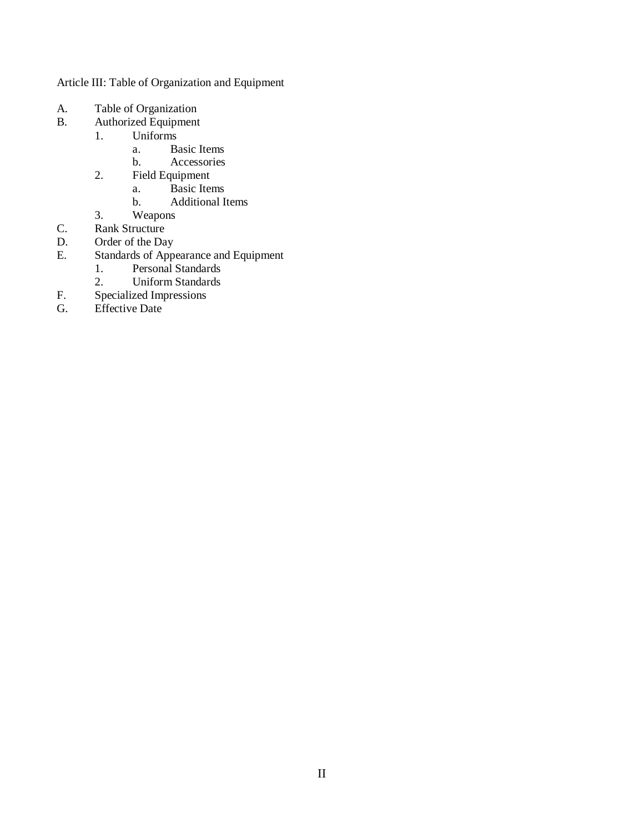Article III: Table of Organization and Equipment

- A. Table of Organization
- B. Authorized Equipment
	- 1. Uniforms
		- a. Basic Items
		- b. Accessories
	- 2. Field Equipment
		- a. Basic Items
		- b. Additional Items
	- 3. Weapons
- C. Rank Structure
- D. Order of the Day<br>E. Standards of App
- Standards of Appearance and Equipment<br>1. Personal Standards
	- Personal Standards
		- 2. Uniform Standards
- F. Specialized Impressions<br>G. Effective Date
- Effective Date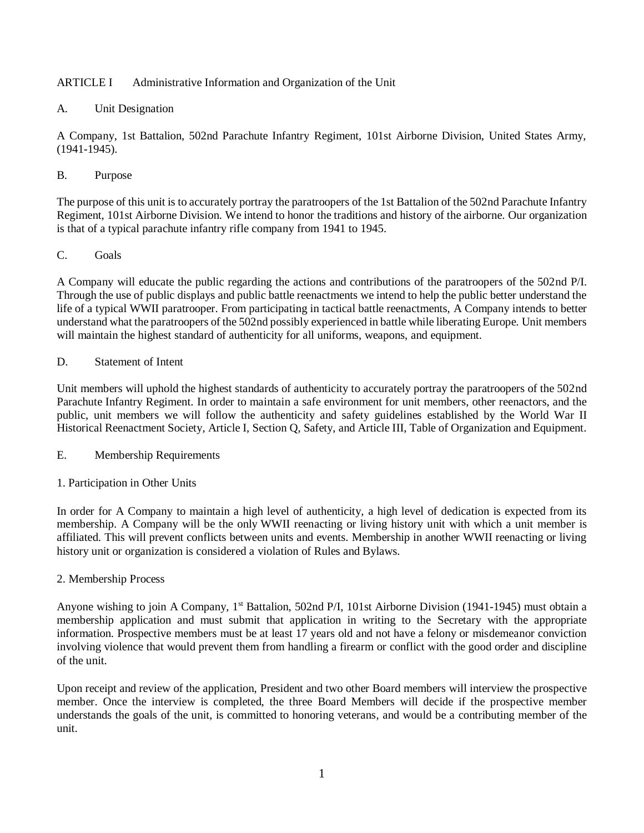## ARTICLE I Administrative Information and Organization of the Unit

#### A. Unit Designation

A Company, 1st Battalion, 502nd Parachute Infantry Regiment, 101st Airborne Division, United States Army, (1941-1945).

#### B. Purpose

The purpose of this unit is to accurately portray the paratroopers of the 1st Battalion of the 502nd Parachute Infantry Regiment, 101st Airborne Division. We intend to honor the traditions and history of the airborne. Our organization is that of a typical parachute infantry rifle company from 1941 to 1945.

#### C. Goals

A Company will educate the public regarding the actions and contributions of the paratroopers of the 502nd P/I. Through the use of public displays and public battle reenactments we intend to help the public better understand the life of a typical WWII paratrooper. From participating in tactical battle reenactments, A Company intends to better understand what the paratroopers of the 502nd possibly experienced in battle while liberating Europe. Unit members will maintain the highest standard of authenticity for all uniforms, weapons, and equipment.

## D. Statement of Intent

Unit members will uphold the highest standards of authenticity to accurately portray the paratroopers of the 502nd Parachute Infantry Regiment. In order to maintain a safe environment for unit members, other reenactors, and the public, unit members we will follow the authenticity and safety guidelines established by the World War II Historical Reenactment Society, Article I, Section Q, Safety, and Article III, Table of Organization and Equipment.

#### E. Membership Requirements

1. Participation in Other Units

In order for A Company to maintain a high level of authenticity, a high level of dedication is expected from its membership. A Company will be the only WWII reenacting or living history unit with which a unit member is affiliated. This will prevent conflicts between units and events. Membership in another WWII reenacting or living history unit or organization is considered a violation of Rules and Bylaws.

#### 2. Membership Process

Anyone wishing to join A Company, 1<sup>st</sup> Battalion, 502nd P/I, 101st Airborne Division (1941-1945) must obtain a membership application and must submit that application in writing to the Secretary with the appropriate information. Prospective members must be at least 17 years old and not have a felony or misdemeanor conviction involving violence that would prevent them from handling a firearm or conflict with the good order and discipline of the unit.

Upon receipt and review of the application, President and two other Board members will interview the prospective member. Once the interview is completed, the three Board Members will decide if the prospective member understands the goals of the unit, is committed to honoring veterans, and would be a contributing member of the unit.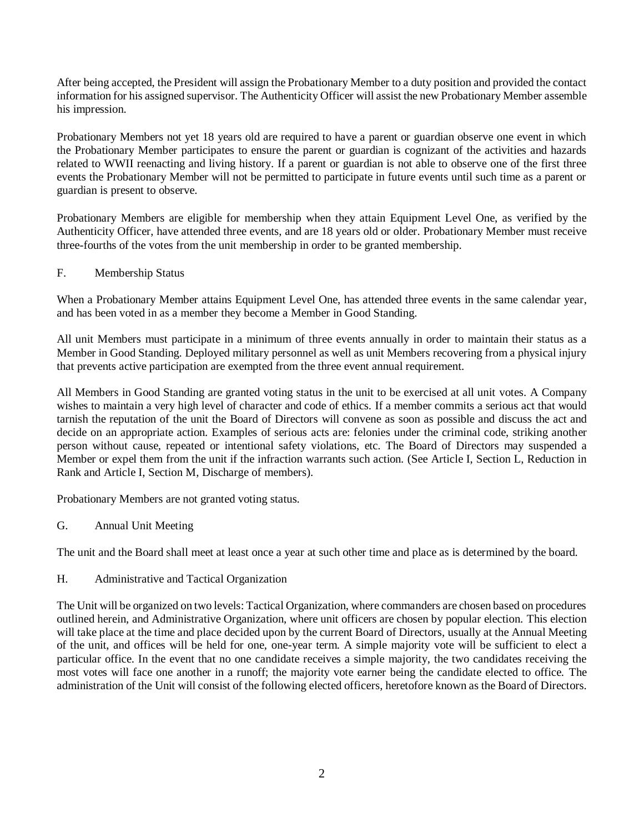After being accepted, the President will assign the Probationary Member to a duty position and provided the contact information for his assigned supervisor. The Authenticity Officer will assist the new Probationary Member assemble his impression.

Probationary Members not yet 18 years old are required to have a parent or guardian observe one event in which the Probationary Member participates to ensure the parent or guardian is cognizant of the activities and hazards related to WWII reenacting and living history. If a parent or guardian is not able to observe one of the first three events the Probationary Member will not be permitted to participate in future events until such time as a parent or guardian is present to observe.

Probationary Members are eligible for membership when they attain Equipment Level One, as verified by the Authenticity Officer, have attended three events, and are 18 years old or older. Probationary Member must receive three-fourths of the votes from the unit membership in order to be granted membership.

#### F. Membership Status

When a Probationary Member attains Equipment Level One, has attended three events in the same calendar year, and has been voted in as a member they become a Member in Good Standing.

All unit Members must participate in a minimum of three events annually in order to maintain their status as a Member in Good Standing. Deployed military personnel as well as unit Members recovering from a physical injury that prevents active participation are exempted from the three event annual requirement.

All Members in Good Standing are granted voting status in the unit to be exercised at all unit votes. A Company wishes to maintain a very high level of character and code of ethics. If a member commits a serious act that would tarnish the reputation of the unit the Board of Directors will convene as soon as possible and discuss the act and decide on an appropriate action. Examples of serious acts are: felonies under the criminal code, striking another person without cause, repeated or intentional safety violations, etc. The Board of Directors may suspended a Member or expel them from the unit if the infraction warrants such action. (See Article I, Section L, Reduction in Rank and Article I, Section M, Discharge of members).

Probationary Members are not granted voting status.

#### G. Annual Unit Meeting

The unit and the Board shall meet at least once a year at such other time and place as is determined by the board.

H. Administrative and Tactical Organization

The Unit will be organized on two levels: Tactical Organization, where commanders are chosen based on procedures outlined herein, and Administrative Organization, where unit officers are chosen by popular election. This election will take place at the time and place decided upon by the current Board of Directors, usually at the Annual Meeting of the unit, and offices will be held for one, one-year term. A simple majority vote will be sufficient to elect a particular office. In the event that no one candidate receives a simple majority, the two candidates receiving the most votes will face one another in a runoff; the majority vote earner being the candidate elected to office. The administration of the Unit will consist of the following elected officers, heretofore known as the Board of Directors.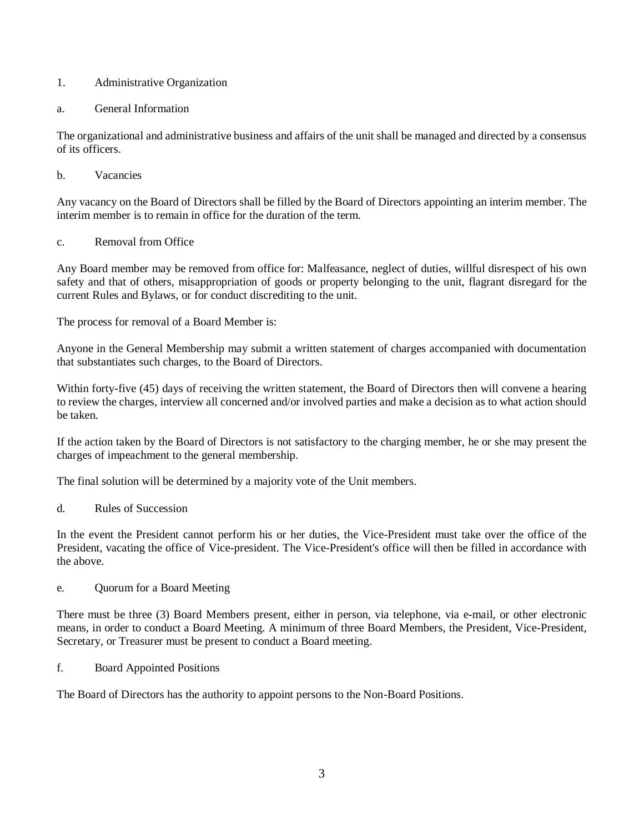#### 1. Administrative Organization

#### a. General Information

The organizational and administrative business and affairs of the unit shall be managed and directed by a consensus of its officers.

## b. Vacancies

Any vacancy on the Board of Directors shall be filled by the Board of Directors appointing an interim member. The interim member is to remain in office for the duration of the term.

## c. Removal from Office

Any Board member may be removed from office for: Malfeasance, neglect of duties, willful disrespect of his own safety and that of others, misappropriation of goods or property belonging to the unit, flagrant disregard for the current Rules and Bylaws, or for conduct discrediting to the unit.

The process for removal of a Board Member is:

Anyone in the General Membership may submit a written statement of charges accompanied with documentation that substantiates such charges, to the Board of Directors.

Within forty-five (45) days of receiving the written statement, the Board of Directors then will convene a hearing to review the charges, interview all concerned and/or involved parties and make a decision as to what action should be taken.

If the action taken by the Board of Directors is not satisfactory to the charging member, he or she may present the charges of impeachment to the general membership.

The final solution will be determined by a majority vote of the Unit members.

d. Rules of Succession

In the event the President cannot perform his or her duties, the Vice-President must take over the office of the President, vacating the office of Vice-president. The Vice-President's office will then be filled in accordance with the above.

#### e. Quorum for a Board Meeting

There must be three (3) Board Members present, either in person, via telephone, via e-mail, or other electronic means, in order to conduct a Board Meeting. A minimum of three Board Members, the President, Vice-President, Secretary, or Treasurer must be present to conduct a Board meeting.

f. Board Appointed Positions

The Board of Directors has the authority to appoint persons to the Non-Board Positions.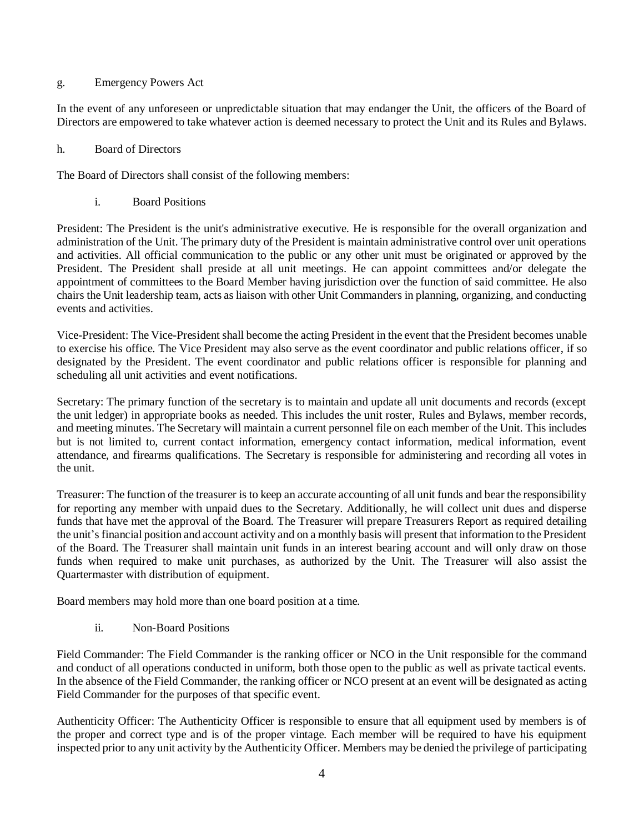#### g. Emergency Powers Act

In the event of any unforeseen or unpredictable situation that may endanger the Unit, the officers of the Board of Directors are empowered to take whatever action is deemed necessary to protect the Unit and its Rules and Bylaws.

#### h. Board of Directors

The Board of Directors shall consist of the following members:

i. Board Positions

President: The President is the unit's administrative executive. He is responsible for the overall organization and administration of the Unit. The primary duty of the President is maintain administrative control over unit operations and activities. All official communication to the public or any other unit must be originated or approved by the President. The President shall preside at all unit meetings. He can appoint committees and/or delegate the appointment of committees to the Board Member having jurisdiction over the function of said committee. He also chairs the Unit leadership team, acts as liaison with other Unit Commanders in planning, organizing, and conducting events and activities.

Vice-President: The Vice-President shall become the acting President in the event that the President becomes unable to exercise his office. The Vice President may also serve as the event coordinator and public relations officer, if so designated by the President. The event coordinator and public relations officer is responsible for planning and scheduling all unit activities and event notifications.

Secretary: The primary function of the secretary is to maintain and update all unit documents and records (except the unit ledger) in appropriate books as needed. This includes the unit roster, Rules and Bylaws, member records, and meeting minutes. The Secretary will maintain a current personnel file on each member of the Unit. This includes but is not limited to, current contact information, emergency contact information, medical information, event attendance, and firearms qualifications. The Secretary is responsible for administering and recording all votes in the unit.

Treasurer: The function of the treasurer is to keep an accurate accounting of all unit funds and bear the responsibility for reporting any member with unpaid dues to the Secretary. Additionally, he will collect unit dues and disperse funds that have met the approval of the Board. The Treasurer will prepare Treasurers Report as required detailing the unit's financial position and account activity and on a monthly basis will present that information to the President of the Board. The Treasurer shall maintain unit funds in an interest bearing account and will only draw on those funds when required to make unit purchases, as authorized by the Unit. The Treasurer will also assist the Quartermaster with distribution of equipment.

Board members may hold more than one board position at a time.

ii. Non-Board Positions

Field Commander: The Field Commander is the ranking officer or NCO in the Unit responsible for the command and conduct of all operations conducted in uniform, both those open to the public as well as private tactical events. In the absence of the Field Commander, the ranking officer or NCO present at an event will be designated as acting Field Commander for the purposes of that specific event.

Authenticity Officer: The Authenticity Officer is responsible to ensure that all equipment used by members is of the proper and correct type and is of the proper vintage. Each member will be required to have his equipment inspected prior to any unit activity by the Authenticity Officer. Members may be denied the privilege of participating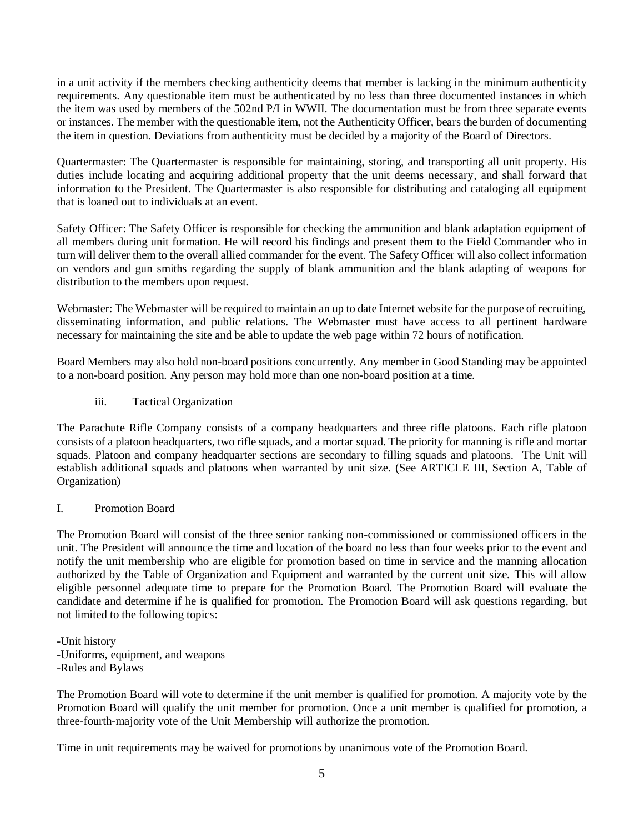in a unit activity if the members checking authenticity deems that member is lacking in the minimum authenticity requirements. Any questionable item must be authenticated by no less than three documented instances in which the item was used by members of the 502nd P/I in WWII. The documentation must be from three separate events or instances. The member with the questionable item, not the Authenticity Officer, bears the burden of documenting the item in question. Deviations from authenticity must be decided by a majority of the Board of Directors.

Quartermaster: The Quartermaster is responsible for maintaining, storing, and transporting all unit property. His duties include locating and acquiring additional property that the unit deems necessary, and shall forward that information to the President. The Quartermaster is also responsible for distributing and cataloging all equipment that is loaned out to individuals at an event.

Safety Officer: The Safety Officer is responsible for checking the ammunition and blank adaptation equipment of all members during unit formation. He will record his findings and present them to the Field Commander who in turn will deliver them to the overall allied commander for the event. The Safety Officer will also collect information on vendors and gun smiths regarding the supply of blank ammunition and the blank adapting of weapons for distribution to the members upon request.

Webmaster: The Webmaster will be required to maintain an up to date Internet website for the purpose of recruiting, disseminating information, and public relations. The Webmaster must have access to all pertinent hardware necessary for maintaining the site and be able to update the web page within 72 hours of notification.

Board Members may also hold non-board positions concurrently. Any member in Good Standing may be appointed to a non-board position. Any person may hold more than one non-board position at a time.

iii. Tactical Organization

The Parachute Rifle Company consists of a company headquarters and three rifle platoons. Each rifle platoon consists of a platoon headquarters, two rifle squads, and a mortar squad. The priority for manning is rifle and mortar squads. Platoon and company headquarter sections are secondary to filling squads and platoons. The Unit will establish additional squads and platoons when warranted by unit size. (See ARTICLE III, Section A, Table of Organization)

#### I. Promotion Board

The Promotion Board will consist of the three senior ranking non-commissioned or commissioned officers in the unit. The President will announce the time and location of the board no less than four weeks prior to the event and notify the unit membership who are eligible for promotion based on time in service and the manning allocation authorized by the Table of Organization and Equipment and warranted by the current unit size. This will allow eligible personnel adequate time to prepare for the Promotion Board. The Promotion Board will evaluate the candidate and determine if he is qualified for promotion. The Promotion Board will ask questions regarding, but not limited to the following topics:

-Unit history -Uniforms, equipment, and weapons -Rules and Bylaws

The Promotion Board will vote to determine if the unit member is qualified for promotion. A majority vote by the Promotion Board will qualify the unit member for promotion. Once a unit member is qualified for promotion, a three-fourth-majority vote of the Unit Membership will authorize the promotion.

Time in unit requirements may be waived for promotions by unanimous vote of the Promotion Board.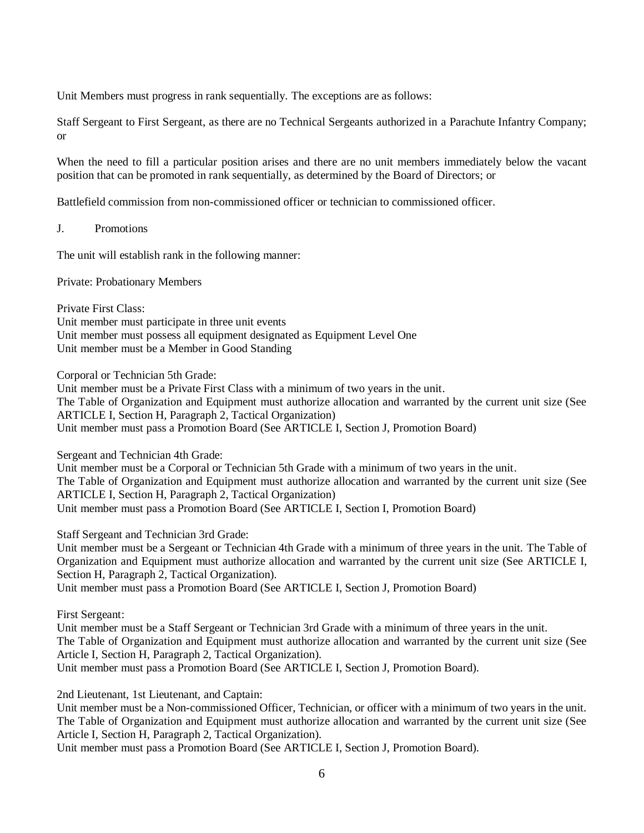Unit Members must progress in rank sequentially. The exceptions are as follows:

Staff Sergeant to First Sergeant, as there are no Technical Sergeants authorized in a Parachute Infantry Company; or

When the need to fill a particular position arises and there are no unit members immediately below the vacant position that can be promoted in rank sequentially, as determined by the Board of Directors; or

Battlefield commission from non-commissioned officer or technician to commissioned officer.

#### J. Promotions

The unit will establish rank in the following manner:

Private: Probationary Members

Private First Class: Unit member must participate in three unit events Unit member must possess all equipment designated as Equipment Level One Unit member must be a Member in Good Standing

Corporal or Technician 5th Grade:

Unit member must be a Private First Class with a minimum of two years in the unit. The Table of Organization and Equipment must authorize allocation and warranted by the current unit size (See ARTICLE I, Section H, Paragraph 2, Tactical Organization) Unit member must pass a Promotion Board (See ARTICLE I, Section J, Promotion Board)

Sergeant and Technician 4th Grade:

Unit member must be a Corporal or Technician 5th Grade with a minimum of two years in the unit. The Table of Organization and Equipment must authorize allocation and warranted by the current unit size (See ARTICLE I, Section H, Paragraph 2, Tactical Organization) Unit member must pass a Promotion Board (See ARTICLE I, Section I, Promotion Board)

Staff Sergeant and Technician 3rd Grade:

Unit member must be a Sergeant or Technician 4th Grade with a minimum of three years in the unit. The Table of Organization and Equipment must authorize allocation and warranted by the current unit size (See ARTICLE I, Section H, Paragraph 2, Tactical Organization).

Unit member must pass a Promotion Board (See ARTICLE I, Section J, Promotion Board)

First Sergeant:

Unit member must be a Staff Sergeant or Technician 3rd Grade with a minimum of three years in the unit. The Table of Organization and Equipment must authorize allocation and warranted by the current unit size (See Article I, Section H, Paragraph 2, Tactical Organization). Unit member must pass a Promotion Board (See ARTICLE I, Section J, Promotion Board).

2nd Lieutenant, 1st Lieutenant, and Captain:

Unit member must be a Non-commissioned Officer, Technician, or officer with a minimum of two years in the unit. The Table of Organization and Equipment must authorize allocation and warranted by the current unit size (See Article I, Section H, Paragraph 2, Tactical Organization).

Unit member must pass a Promotion Board (See ARTICLE I, Section J, Promotion Board).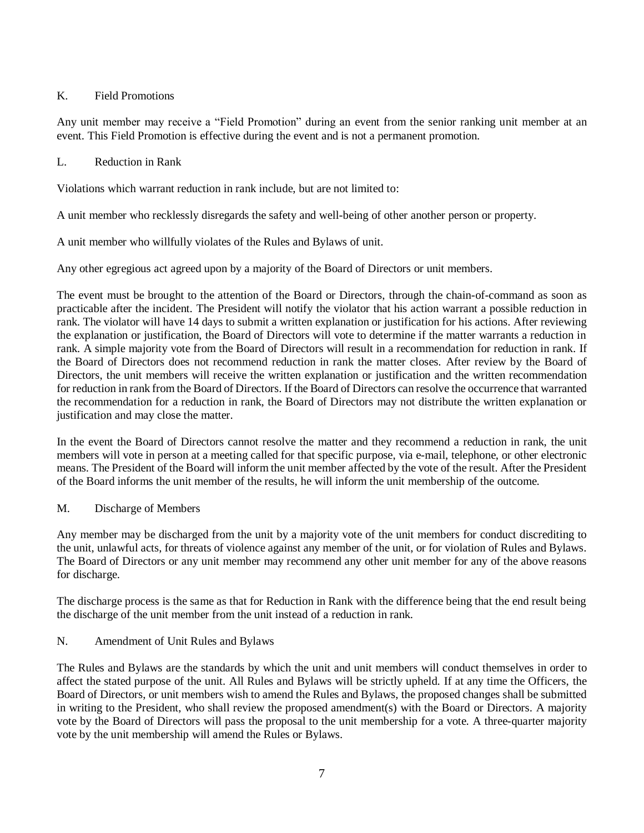# K. Field Promotions

Any unit member may receive a "Field Promotion" during an event from the senior ranking unit member at an event. This Field Promotion is effective during the event and is not a permanent promotion.

## L. Reduction in Rank

Violations which warrant reduction in rank include, but are not limited to:

A unit member who recklessly disregards the safety and well-being of other another person or property.

A unit member who willfully violates of the Rules and Bylaws of unit.

Any other egregious act agreed upon by a majority of the Board of Directors or unit members.

The event must be brought to the attention of the Board or Directors, through the chain-of-command as soon as practicable after the incident. The President will notify the violator that his action warrant a possible reduction in rank. The violator will have 14 days to submit a written explanation or justification for his actions. After reviewing the explanation or justification, the Board of Directors will vote to determine if the matter warrants a reduction in rank. A simple majority vote from the Board of Directors will result in a recommendation for reduction in rank. If the Board of Directors does not recommend reduction in rank the matter closes. After review by the Board of Directors, the unit members will receive the written explanation or justification and the written recommendation for reduction in rank from the Board of Directors. If the Board of Directors can resolve the occurrence that warranted the recommendation for a reduction in rank, the Board of Directors may not distribute the written explanation or justification and may close the matter.

In the event the Board of Directors cannot resolve the matter and they recommend a reduction in rank, the unit members will vote in person at a meeting called for that specific purpose, via e-mail, telephone, or other electronic means. The President of the Board will inform the unit member affected by the vote of the result. After the President of the Board informs the unit member of the results, he will inform the unit membership of the outcome.

#### M. Discharge of Members

Any member may be discharged from the unit by a majority vote of the unit members for conduct discrediting to the unit, unlawful acts, for threats of violence against any member of the unit, or for violation of Rules and Bylaws. The Board of Directors or any unit member may recommend any other unit member for any of the above reasons for discharge.

The discharge process is the same as that for Reduction in Rank with the difference being that the end result being the discharge of the unit member from the unit instead of a reduction in rank.

#### N. Amendment of Unit Rules and Bylaws

The Rules and Bylaws are the standards by which the unit and unit members will conduct themselves in order to affect the stated purpose of the unit. All Rules and Bylaws will be strictly upheld. If at any time the Officers, the Board of Directors, or unit members wish to amend the Rules and Bylaws, the proposed changes shall be submitted in writing to the President, who shall review the proposed amendment(s) with the Board or Directors. A majority vote by the Board of Directors will pass the proposal to the unit membership for a vote. A three-quarter majority vote by the unit membership will amend the Rules or Bylaws.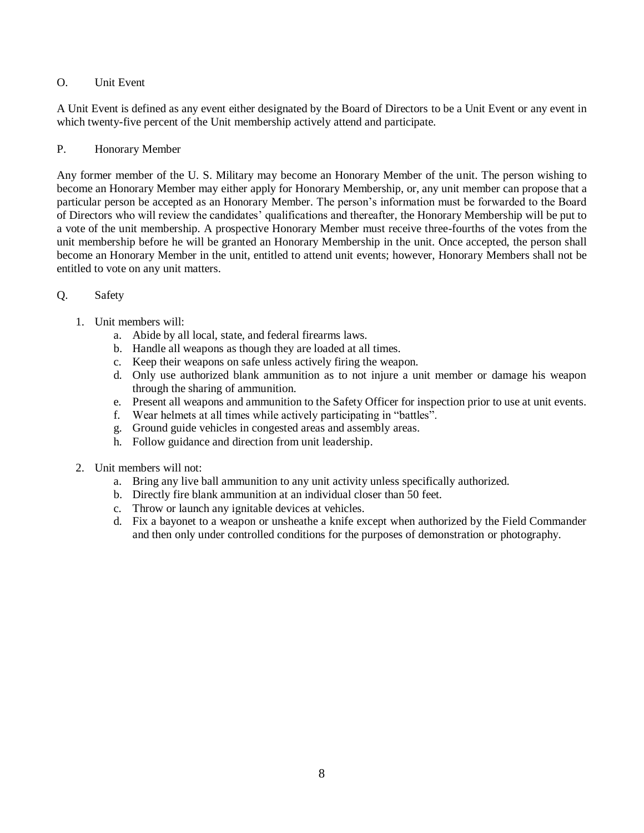#### O. Unit Event

A Unit Event is defined as any event either designated by the Board of Directors to be a Unit Event or any event in which twenty-five percent of the Unit membership actively attend and participate.

#### P. Honorary Member

Any former member of the U. S. Military may become an Honorary Member of the unit. The person wishing to become an Honorary Member may either apply for Honorary Membership, or, any unit member can propose that a particular person be accepted as an Honorary Member. The person's information must be forwarded to the Board of Directors who will review the candidates' qualifications and thereafter, the Honorary Membership will be put to a vote of the unit membership. A prospective Honorary Member must receive three-fourths of the votes from the unit membership before he will be granted an Honorary Membership in the unit. Once accepted, the person shall become an Honorary Member in the unit, entitled to attend unit events; however, Honorary Members shall not be entitled to vote on any unit matters.

# Q. Safety

- 1. Unit members will:
	- a. Abide by all local, state, and federal firearms laws.
	- b. Handle all weapons as though they are loaded at all times.
	- c. Keep their weapons on safe unless actively firing the weapon.
	- d. Only use authorized blank ammunition as to not injure a unit member or damage his weapon through the sharing of ammunition.
	- e. Present all weapons and ammunition to the Safety Officer for inspection prior to use at unit events.
	- f. Wear helmets at all times while actively participating in "battles".
	- g. Ground guide vehicles in congested areas and assembly areas.
	- h. Follow guidance and direction from unit leadership.
- 2. Unit members will not:
	- a. Bring any live ball ammunition to any unit activity unless specifically authorized.
	- b. Directly fire blank ammunition at an individual closer than 50 feet.
	- c. Throw or launch any ignitable devices at vehicles.
	- d. Fix a bayonet to a weapon or unsheathe a knife except when authorized by the Field Commander and then only under controlled conditions for the purposes of demonstration or photography.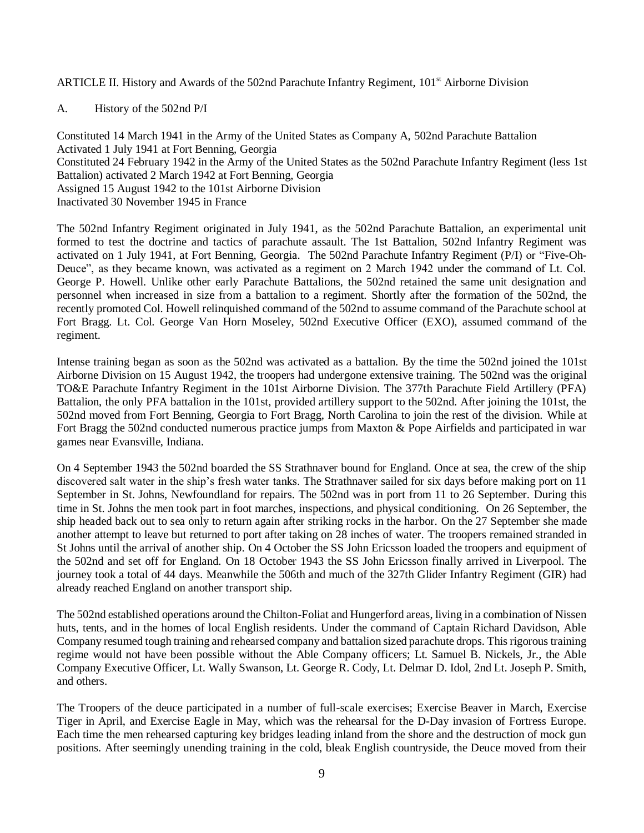ARTICLE II. History and Awards of the 502nd Parachute Infantry Regiment, 101<sup>st</sup> Airborne Division

A. History of the 502nd P/I

Constituted 14 March 1941 in the Army of the United States as Company A, 502nd Parachute Battalion Activated 1 July 1941 at Fort Benning, Georgia Constituted 24 February 1942 in the Army of the United States as the 502nd Parachute Infantry Regiment (less 1st Battalion) activated 2 March 1942 at Fort Benning, Georgia Assigned 15 August 1942 to the 101st Airborne Division Inactivated 30 November 1945 in France

The 502nd Infantry Regiment originated in July 1941, as the 502nd Parachute Battalion, an experimental unit formed to test the doctrine and tactics of parachute assault. The 1st Battalion, 502nd Infantry Regiment was activated on 1 July 1941, at Fort Benning, Georgia. The 502nd Parachute Infantry Regiment (P/I) or "Five-Oh-Deuce", as they became known, was activated as a regiment on 2 March 1942 under the command of Lt. Col. George P. Howell. Unlike other early Parachute Battalions, the 502nd retained the same unit designation and personnel when increased in size from a battalion to a regiment. Shortly after the formation of the 502nd, the recently promoted Col. Howell relinquished command of the 502nd to assume command of the Parachute school at Fort Bragg. Lt. Col. George Van Horn Moseley, 502nd Executive Officer (EXO), assumed command of the regiment.

Intense training began as soon as the 502nd was activated as a battalion. By the time the 502nd joined the 101st Airborne Division on 15 August 1942, the troopers had undergone extensive training. The 502nd was the original TO&E Parachute Infantry Regiment in the 101st Airborne Division. The 377th Parachute Field Artillery (PFA) Battalion, the only PFA battalion in the 101st, provided artillery support to the 502nd. After joining the 101st, the 502nd moved from Fort Benning, Georgia to Fort Bragg, North Carolina to join the rest of the division. While at Fort Bragg the 502nd conducted numerous practice jumps from Maxton & Pope Airfields and participated in war games near Evansville, Indiana.

On 4 September 1943 the 502nd boarded the SS Strathnaver bound for England. Once at sea, the crew of the ship discovered salt water in the ship's fresh water tanks. The Strathnaver sailed for six days before making port on 11 September in St. Johns, Newfoundland for repairs. The 502nd was in port from 11 to 26 September. During this time in St. Johns the men took part in foot marches, inspections, and physical conditioning. On 26 September, the ship headed back out to sea only to return again after striking rocks in the harbor. On the 27 September she made another attempt to leave but returned to port after taking on 28 inches of water. The troopers remained stranded in St Johns until the arrival of another ship. On 4 October the SS John Ericsson loaded the troopers and equipment of the 502nd and set off for England. On 18 October 1943 the SS John Ericsson finally arrived in Liverpool. The journey took a total of 44 days. Meanwhile the 506th and much of the 327th Glider Infantry Regiment (GIR) had already reached England on another transport ship.

The 502nd established operations around the Chilton-Foliat and Hungerford areas, living in a combination of Nissen huts, tents, and in the homes of local English residents. Under the command of Captain Richard Davidson, Able Company resumed tough training and rehearsed company and battalion sized parachute drops. This rigorous training regime would not have been possible without the Able Company officers; Lt. Samuel B. Nickels, Jr., the Able Company Executive Officer, Lt. Wally Swanson, Lt. George R. Cody, Lt. Delmar D. Idol, 2nd Lt. Joseph P. Smith, and others.

The Troopers of the deuce participated in a number of full-scale exercises; Exercise Beaver in March, Exercise Tiger in April, and Exercise Eagle in May, which was the rehearsal for the D-Day invasion of Fortress Europe. Each time the men rehearsed capturing key bridges leading inland from the shore and the destruction of mock gun positions. After seemingly unending training in the cold, bleak English countryside, the Deuce moved from their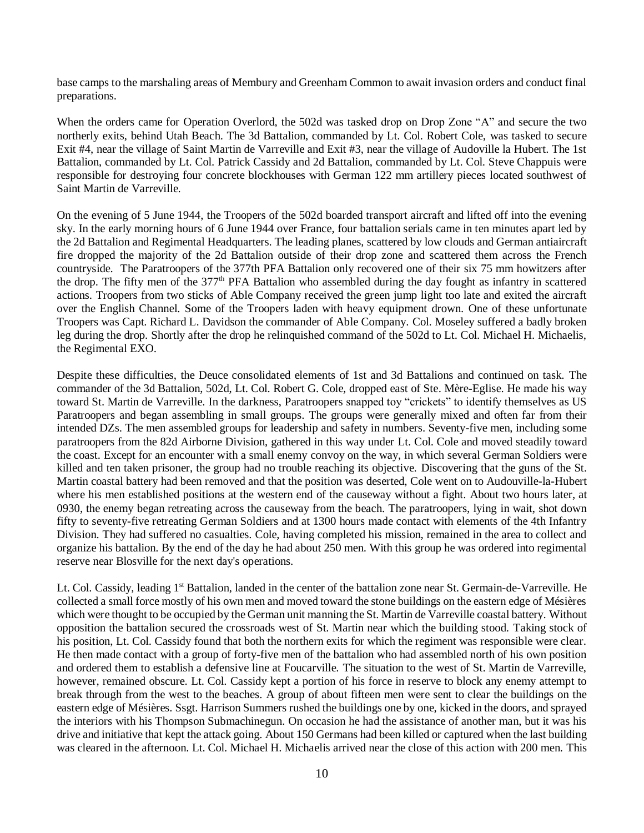base camps to the marshaling areas of Membury and Greenham Common to await invasion orders and conduct final preparations.

When the orders came for Operation Overlord, the 502d was tasked drop on Drop Zone "A" and secure the two northerly exits, behind Utah Beach. The 3d Battalion, commanded by Lt. Col. Robert Cole, was tasked to secure Exit #4, near the village of Saint Martin de Varreville and Exit #3, near the village of Audoville la Hubert. The 1st Battalion, commanded by Lt. Col. Patrick Cassidy and 2d Battalion, commanded by Lt. Col. Steve Chappuis were responsible for destroying four concrete blockhouses with German 122 mm artillery pieces located southwest of Saint Martin de Varreville.

On the evening of 5 June 1944, the Troopers of the 502d boarded transport aircraft and lifted off into the evening sky. In the early morning hours of 6 June 1944 over France, four battalion serials came in ten minutes apart led by the 2d Battalion and Regimental Headquarters. The leading planes, scattered by low clouds and German antiaircraft fire dropped the majority of the 2d Battalion outside of their drop zone and scattered them across the French countryside. The Paratroopers of the 377th PFA Battalion only recovered one of their six 75 mm howitzers after the drop. The fifty men of the 377th PFA Battalion who assembled during the day fought as infantry in scattered actions. Troopers from two sticks of Able Company received the green jump light too late and exited the aircraft over the English Channel. Some of the Troopers laden with heavy equipment drown. One of these unfortunate Troopers was Capt. Richard L. Davidson the commander of Able Company. Col. Moseley suffered a badly broken leg during the drop. Shortly after the drop he relinquished command of the 502d to Lt. Col. Michael H. Michaelis, the Regimental EXO.

Despite these difficulties, the Deuce consolidated elements of 1st and 3d Battalions and continued on task. The commander of the 3d Battalion, 502d, Lt. Col. Robert G. Cole, dropped east of Ste. Mère-Eglise. He made his way toward St. Martin de Varreville. In the darkness, Paratroopers snapped toy "crickets" to identify themselves as US Paratroopers and began assembling in small groups. The groups were generally mixed and often far from their intended DZs. The men assembled groups for leadership and safety in numbers. Seventy-five men, including some paratroopers from the 82d Airborne Division, gathered in this way under Lt. Col. Cole and moved steadily toward the coast. Except for an encounter with a small enemy convoy on the way, in which several German Soldiers were killed and ten taken prisoner, the group had no trouble reaching its objective. Discovering that the guns of the St. Martin coastal battery had been removed and that the position was deserted, Cole went on to Audouville-la-Hubert where his men established positions at the western end of the causeway without a fight. About two hours later, at 0930, the enemy began retreating across the causeway from the beach. The paratroopers, lying in wait, shot down fifty to seventy-five retreating German Soldiers and at 1300 hours made contact with elements of the 4th Infantry Division. They had suffered no casualties. Cole, having completed his mission, remained in the area to collect and organize his battalion. By the end of the day he had about 250 men. With this group he was ordered into regimental reserve near Blosville for the next day's operations.

Lt. Col. Cassidy, leading 1<sup>st</sup> Battalion, landed in the center of the battalion zone near St. Germain-de-Varreville. He collected a small force mostly of his own men and moved toward the stone buildings on the eastern edge of Mésières which were thought to be occupied by the German unit manning the St. Martin de Varreville coastal battery. Without opposition the battalion secured the crossroads west of St. Martin near which the building stood. Taking stock of his position, Lt. Col. Cassidy found that both the northern exits for which the regiment was responsible were clear. He then made contact with a group of forty-five men of the battalion who had assembled north of his own position and ordered them to establish a defensive line at Foucarville. The situation to the west of St. Martin de Varreville, however, remained obscure. Lt. Col. Cassidy kept a portion of his force in reserve to block any enemy attempt to break through from the west to the beaches. A group of about fifteen men were sent to clear the buildings on the eastern edge of Mésières. Ssgt. Harrison Summers rushed the buildings one by one, kicked in the doors, and sprayed the interiors with his Thompson Submachinegun. On occasion he had the assistance of another man, but it was his drive and initiative that kept the attack going. About 150 Germans had been killed or captured when the last building was cleared in the afternoon. Lt. Col. Michael H. Michaelis arrived near the close of this action with 200 men. This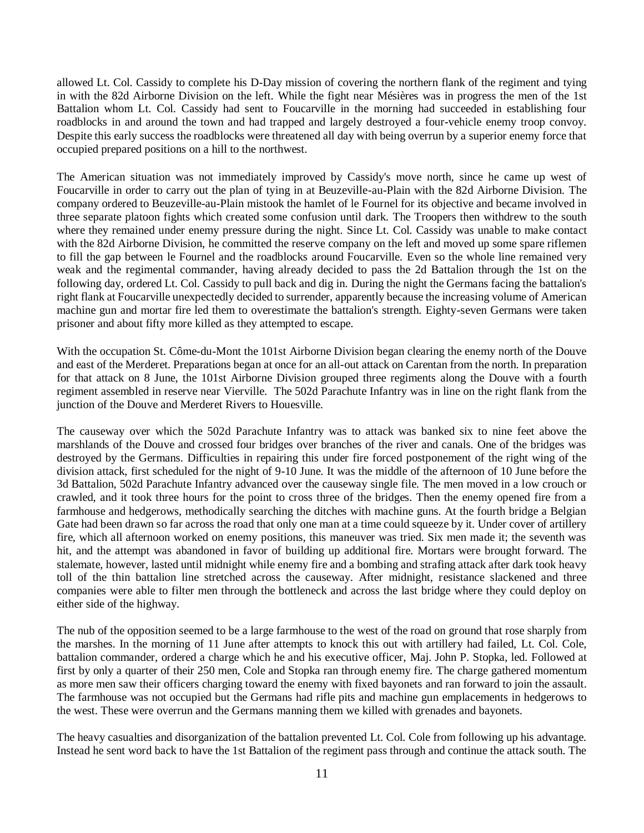allowed Lt. Col. Cassidy to complete his D-Day mission of covering the northern flank of the regiment and tying in with the 82d Airborne Division on the left. While the fight near Mésières was in progress the men of the 1st Battalion whom Lt. Col. Cassidy had sent to Foucarville in the morning had succeeded in establishing four roadblocks in and around the town and had trapped and largely destroyed a four-vehicle enemy troop convoy. Despite this early success the roadblocks were threatened all day with being overrun by a superior enemy force that occupied prepared positions on a hill to the northwest.

The American situation was not immediately improved by Cassidy's move north, since he came up west of Foucarville in order to carry out the plan of tying in at Beuzeville-au-Plain with the 82d Airborne Division. The company ordered to Beuzeville-au-Plain mistook the hamlet of le Fournel for its objective and became involved in three separate platoon fights which created some confusion until dark. The Troopers then withdrew to the south where they remained under enemy pressure during the night. Since Lt. Col. Cassidy was unable to make contact with the 82d Airborne Division, he committed the reserve company on the left and moved up some spare riflemen to fill the gap between le Fournel and the roadblocks around Foucarville. Even so the whole line remained very weak and the regimental commander, having already decided to pass the 2d Battalion through the 1st on the following day, ordered Lt. Col. Cassidy to pull back and dig in. During the night the Germans facing the battalion's right flank at Foucarville unexpectedly decided to surrender, apparently because the increasing volume of American machine gun and mortar fire led them to overestimate the battalion's strength. Eighty-seven Germans were taken prisoner and about fifty more killed as they attempted to escape.

With the occupation St. Côme-du-Mont the 101st Airborne Division began clearing the enemy north of the Douve and east of the Merderet. Preparations began at once for an all-out attack on Carentan from the north. In preparation for that attack on 8 June, the 101st Airborne Division grouped three regiments along the Douve with a fourth regiment assembled in reserve near Vierville. The 502d Parachute Infantry was in line on the right flank from the junction of the Douve and Merderet Rivers to Houesville.

The causeway over which the 502d Parachute Infantry was to attack was banked six to nine feet above the marshlands of the Douve and crossed four bridges over branches of the river and canals. One of the bridges was destroyed by the Germans. Difficulties in repairing this under fire forced postponement of the right wing of the division attack, first scheduled for the night of 9-10 June. It was the middle of the afternoon of 10 June before the 3d Battalion, 502d Parachute Infantry advanced over the causeway single file. The men moved in a low crouch or crawled, and it took three hours for the point to cross three of the bridges. Then the enemy opened fire from a farmhouse and hedgerows, methodically searching the ditches with machine guns. At the fourth bridge a Belgian Gate had been drawn so far across the road that only one man at a time could squeeze by it. Under cover of artillery fire, which all afternoon worked on enemy positions, this maneuver was tried. Six men made it; the seventh was hit, and the attempt was abandoned in favor of building up additional fire. Mortars were brought forward. The stalemate, however, lasted until midnight while enemy fire and a bombing and strafing attack after dark took heavy toll of the thin battalion line stretched across the causeway. After midnight, resistance slackened and three companies were able to filter men through the bottleneck and across the last bridge where they could deploy on either side of the highway.

The nub of the opposition seemed to be a large farmhouse to the west of the road on ground that rose sharply from the marshes. In the morning of 11 June after attempts to knock this out with artillery had failed, Lt. Col. Cole, battalion commander, ordered a charge which he and his executive officer, Maj. John P. Stopka, led. Followed at first by only a quarter of their 250 men, Cole and Stopka ran through enemy fire. The charge gathered momentum as more men saw their officers charging toward the enemy with fixed bayonets and ran forward to join the assault. The farmhouse was not occupied but the Germans had rifle pits and machine gun emplacements in hedgerows to the west. These were overrun and the Germans manning them we killed with grenades and bayonets.

The heavy casualties and disorganization of the battalion prevented Lt. Col. Cole from following up his advantage. Instead he sent word back to have the 1st Battalion of the regiment pass through and continue the attack south. The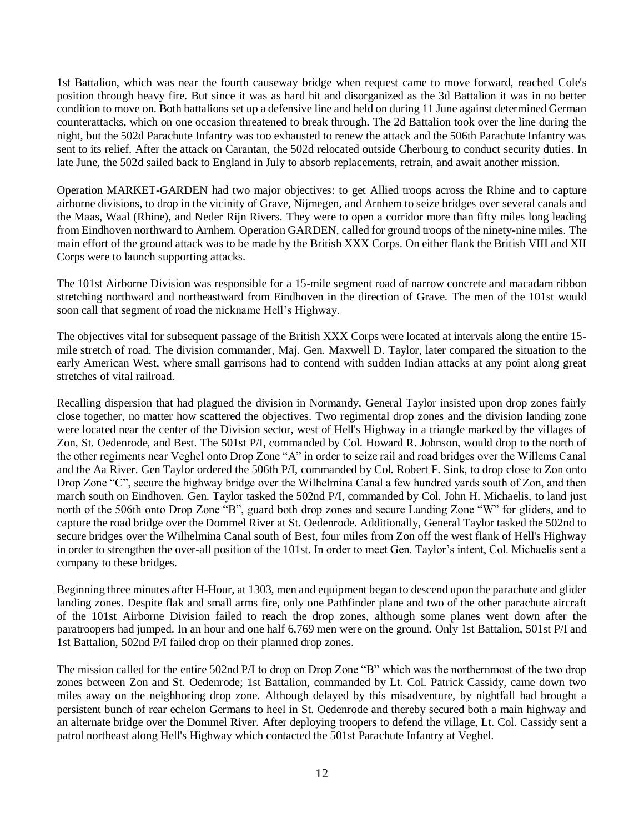1st Battalion, which was near the fourth causeway bridge when request came to move forward, reached Cole's position through heavy fire. But since it was as hard hit and disorganized as the 3d Battalion it was in no better condition to move on. Both battalions set up a defensive line and held on during 11 June against determined German counterattacks, which on one occasion threatened to break through. The 2d Battalion took over the line during the night, but the 502d Parachute Infantry was too exhausted to renew the attack and the 506th Parachute Infantry was sent to its relief. After the attack on Carantan, the 502d relocated outside Cherbourg to conduct security duties. In late June, the 502d sailed back to England in July to absorb replacements, retrain, and await another mission.

Operation MARKET-GARDEN had two major objectives: to get Allied troops across the Rhine and to capture airborne divisions, to drop in the vicinity of Grave, Nijmegen, and Arnhem to seize bridges over several canals and the Maas, Waal (Rhine), and Neder Rijn Rivers. They were to open a corridor more than fifty miles long leading from Eindhoven northward to Arnhem. Operation GARDEN, called for ground troops of the ninety-nine miles. The main effort of the ground attack was to be made by the British XXX Corps. On either flank the British VIII and XII Corps were to launch supporting attacks.

The 101st Airborne Division was responsible for a 15-mile segment road of narrow concrete and macadam ribbon stretching northward and northeastward from Eindhoven in the direction of Grave. The men of the 101st would soon call that segment of road the nickname Hell's Highway.

The objectives vital for subsequent passage of the British XXX Corps were located at intervals along the entire 15 mile stretch of road. The division commander, Maj. Gen. Maxwell D. Taylor, later compared the situation to the early American West, where small garrisons had to contend with sudden Indian attacks at any point along great stretches of vital railroad.

Recalling dispersion that had plagued the division in Normandy, General Taylor insisted upon drop zones fairly close together, no matter how scattered the objectives. Two regimental drop zones and the division landing zone were located near the center of the Division sector, west of Hell's Highway in a triangle marked by the villages of Zon, St. Oedenrode, and Best. The 501st P/I, commanded by Col. Howard R. Johnson, would drop to the north of the other regiments near Veghel onto Drop Zone "A" in order to seize rail and road bridges over the Willems Canal and the Aa River. Gen Taylor ordered the 506th P/I, commanded by Col. Robert F. Sink, to drop close to Zon onto Drop Zone "C", secure the highway bridge over the Wilhelmina Canal a few hundred yards south of Zon, and then march south on Eindhoven. Gen. Taylor tasked the 502nd P/I, commanded by Col. John H. Michaelis, to land just north of the 506th onto Drop Zone "B", guard both drop zones and secure Landing Zone "W" for gliders, and to capture the road bridge over the Dommel River at St. Oedenrode. Additionally, General Taylor tasked the 502nd to secure bridges over the Wilhelmina Canal south of Best, four miles from Zon off the west flank of Hell's Highway in order to strengthen the over-all position of the 101st. In order to meet Gen. Taylor's intent, Col. Michaelis sent a company to these bridges.

Beginning three minutes after H-Hour, at 1303, men and equipment began to descend upon the parachute and glider landing zones. Despite flak and small arms fire, only one Pathfinder plane and two of the other parachute aircraft of the 101st Airborne Division failed to reach the drop zones, although some planes went down after the paratroopers had jumped. In an hour and one half 6,769 men were on the ground. Only 1st Battalion, 501st P/I and 1st Battalion, 502nd P/I failed drop on their planned drop zones.

The mission called for the entire 502nd P/I to drop on Drop Zone "B" which was the northernmost of the two drop zones between Zon and St. Oedenrode; 1st Battalion, commanded by Lt. Col. Patrick Cassidy, came down two miles away on the neighboring drop zone. Although delayed by this misadventure, by nightfall had brought a persistent bunch of rear echelon Germans to heel in St. Oedenrode and thereby secured both a main highway and an alternate bridge over the Dommel River. After deploying troopers to defend the village, Lt. Col. Cassidy sent a patrol northeast along Hell's Highway which contacted the 501st Parachute Infantry at Veghel.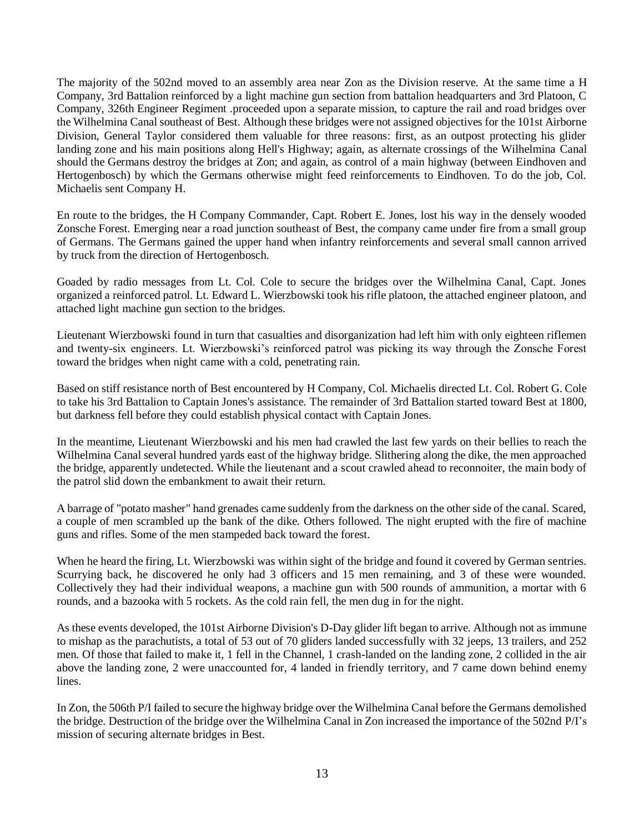The majority of the 502nd moved to an assembly area near Zon as the Division reserve. At the same time a H Company, 3rd Battalion reinforced by a light machine gun section from battalion headquarters and 3rd Platoon, C Company, 326th Engineer Regiment .proceeded upon a separate mission, to capture the rail and road bridges over the Wilhelmina Canal southeast of Best. Although these bridges were not assigned objectives for the 101st Airborne Division, General Taylor considered them valuable for three reasons: first, as an outpost protecting his glider landing zone and his main positions along Hell's Highway; again, as alternate crossings of the Wilhelmina Canal should the Germans destroy the bridges at Zon; and again, as control of a main highway (between Eindhoven and Hertogenbosch) by which the Germans otherwise might feed reinforcements to Eindhoven. To do the job, Col. Michaelis sent Company H.

En route to the bridges, the H Company Commander, Capt. Robert E. Jones, lost his way in the densely wooded Zonsche Forest. Emerging near a road junction southeast of Best, the company came under fire from a small group of Germans. The Germans gained the upper hand when infantry reinforcements and several small cannon arrived by truck from the direction of Hertogenbosch.

Goaded by radio messages from Lt. Col. Cole to secure the bridges over the Wilhelmina Canal, Capt. Jones organized a reinforced patrol. Lt. Edward L. Wierzbowski took his rifle platoon, the attached engineer platoon, and attached light machine gun section to the bridges.

Lieutenant Wierzbowski found in turn that casualties and disorganization had left him with only eighteen riflemen and twenty-six engineers. Lt. Wierzbowski's reinforced patrol was picking its way through the Zonsche Forest toward the bridges when night came with a cold, penetrating rain.

Based on stiff resistance north of Best encountered by H Company, Col. Michaelis directed Lt. Col. Robert G. Cole to take his 3rd Battalion to Captain Jones's assistance. The remainder of 3rd Battalion started toward Best at 1800, but darkness fell before they could establish physical contact with Captain Jones.

In the meantime, Lieutenant Wierzbowski and his men had crawled the last few yards on their bellies to reach the Wilhelmina Canal several hundred yards east of the highway bridge. Slithering along the dike, the men approached the bridge, apparently undetected. While the lieutenant and a scout crawled ahead to reconnoiter, the main body of the patrol slid down the embankment to await their return.

A barrage of "potato masher" hand grenades came suddenly from the darkness on the other side of the canal. Scared, a couple of men scrambled up the bank of the dike. Others followed. The night erupted with the fire of machine guns and rifles. Some of the men stampeded back toward the forest.

When he heard the firing, Lt. Wierzbowski was within sight of the bridge and found it covered by German sentries. Scurrying back, he discovered he only had 3 officers and 15 men remaining, and 3 of these were wounded. Collectively they had their individual weapons, a machine gun with 500 rounds of ammunition, a mortar with 6 rounds, and a bazooka with 5 rockets. As the cold rain fell, the men dug in for the night.

As these events developed, the 101st Airborne Division's D-Day glider lift began to arrive. Although not as immune to mishap as the parachutists, a total of 53 out of 70 gliders landed successfully with 32 jeeps, 13 trailers, and 252 men. Of those that failed to make it, 1 fell in the Channel, 1 crash-landed on the landing zone, 2 collided in the air above the landing zone, 2 were unaccounted for, 4 landed in friendly territory, and 7 came down behind enemy lines.

In Zon, the 506th P/I failed to secure the highway bridge over the Wilhelmina Canal before the Germans demolished the bridge. Destruction of the bridge over the Wilhelmina Canal in Zon increased the importance of the 502nd P/I's mission of securing alternate bridges in Best.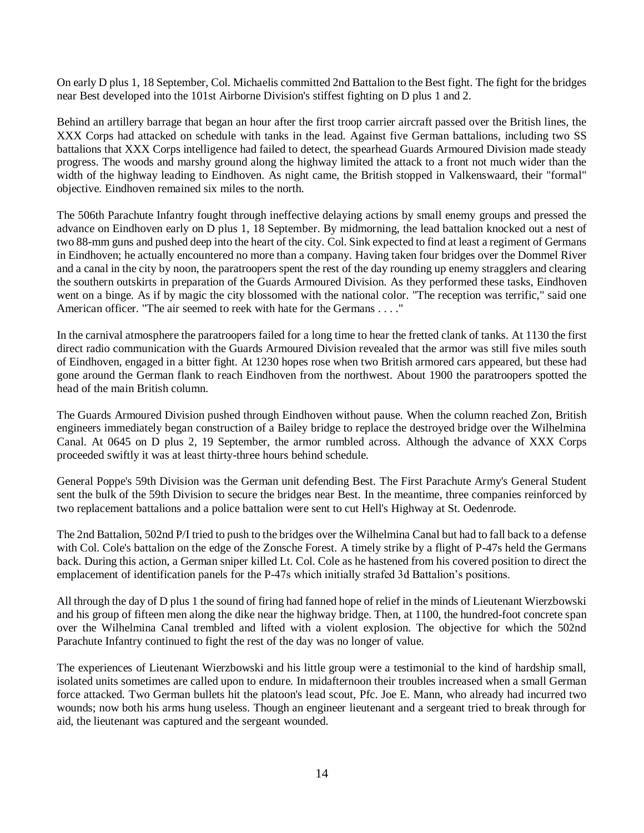On early D plus 1, 18 September, Col. Michaelis committed 2nd Battalion to the Best fight. The fight for the bridges near Best developed into the 101st Airborne Division's stiffest fighting on D plus 1 and 2.

Behind an artillery barrage that began an hour after the first troop carrier aircraft passed over the British lines, the XXX Corps had attacked on schedule with tanks in the lead. Against five German battalions, including two SS battalions that XXX Corps intelligence had failed to detect, the spearhead Guards Armoured Division made steady progress. The woods and marshy ground along the highway limited the attack to a front not much wider than the width of the highway leading to Eindhoven. As night came, the British stopped in Valkenswaard, their "formal" objective. Eindhoven remained six miles to the north.

The 506th Parachute Infantry fought through ineffective delaying actions by small enemy groups and pressed the advance on Eindhoven early on D plus 1, 18 September. By midmorning, the lead battalion knocked out a nest of two 88-mm guns and pushed deep into the heart of the city. Col. Sink expected to find at least a regiment of Germans in Eindhoven; he actually encountered no more than a company. Having taken four bridges over the Dommel River and a canal in the city by noon, the paratroopers spent the rest of the day rounding up enemy stragglers and clearing the southern outskirts in preparation of the Guards Armoured Division. As they performed these tasks, Eindhoven went on a binge. As if by magic the city blossomed with the national color. "The reception was terrific," said one American officer. "The air seemed to reek with hate for the Germans . . . ."

In the carnival atmosphere the paratroopers failed for a long time to hear the fretted clank of tanks. At 1130 the first direct radio communication with the Guards Armoured Division revealed that the armor was still five miles south of Eindhoven, engaged in a bitter fight. At 1230 hopes rose when two British armored cars appeared, but these had gone around the German flank to reach Eindhoven from the northwest. About 1900 the paratroopers spotted the head of the main British column.

The Guards Armoured Division pushed through Eindhoven without pause. When the column reached Zon, British engineers immediately began construction of a Bailey bridge to replace the destroyed bridge over the Wilhelmina Canal. At 0645 on D plus 2, 19 September, the armor rumbled across. Although the advance of XXX Corps proceeded swiftly it was at least thirty-three hours behind schedule.

General Poppe's 59th Division was the German unit defending Best. The First Parachute Army's General Student sent the bulk of the 59th Division to secure the bridges near Best. In the meantime, three companies reinforced by two replacement battalions and a police battalion were sent to cut Hell's Highway at St. Oedenrode.

The 2nd Battalion, 502nd P/I tried to push to the bridges over the Wilhelmina Canal but had to fall back to a defense with Col. Cole's battalion on the edge of the Zonsche Forest. A timely strike by a flight of P-47s held the Germans back. During this action, a German sniper killed Lt. Col. Cole as he hastened from his covered position to direct the emplacement of identification panels for the P-47s which initially strafed 3d Battalion's positions.

All through the day of D plus 1 the sound of firing had fanned hope of relief in the minds of Lieutenant Wierzbowski and his group of fifteen men along the dike near the highway bridge. Then, at 1100, the hundred-foot concrete span over the Wilhelmina Canal trembled and lifted with a violent explosion. The objective for which the 502nd Parachute Infantry continued to fight the rest of the day was no longer of value.

The experiences of Lieutenant Wierzbowski and his little group were a testimonial to the kind of hardship small, isolated units sometimes are called upon to endure. In midafternoon their troubles increased when a small German force attacked. Two German bullets hit the platoon's lead scout, Pfc. Joe E. Mann, who already had incurred two wounds; now both his arms hung useless. Though an engineer lieutenant and a sergeant tried to break through for aid, the lieutenant was captured and the sergeant wounded.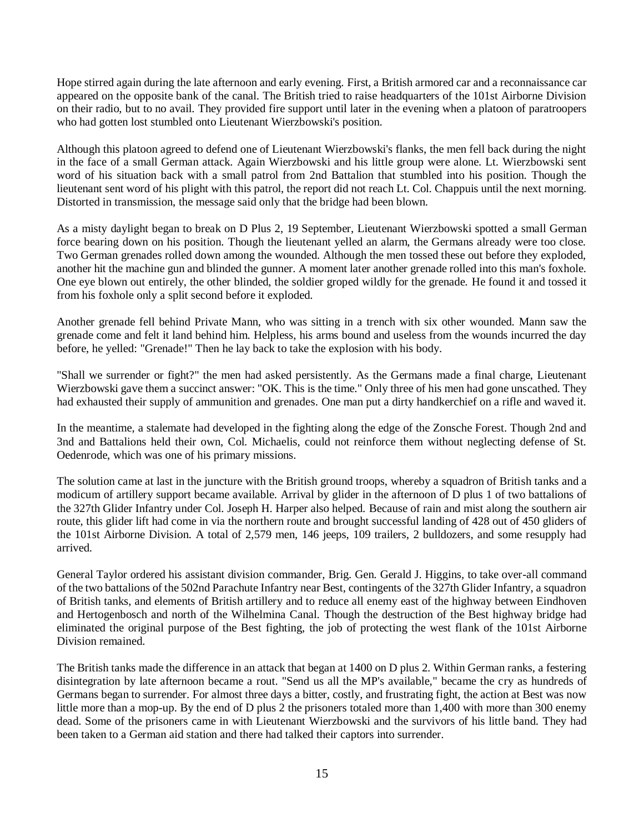Hope stirred again during the late afternoon and early evening. First, a British armored car and a reconnaissance car appeared on the opposite bank of the canal. The British tried to raise headquarters of the 101st Airborne Division on their radio, but to no avail. They provided fire support until later in the evening when a platoon of paratroopers who had gotten lost stumbled onto Lieutenant Wierzbowski's position.

Although this platoon agreed to defend one of Lieutenant Wierzbowski's flanks, the men fell back during the night in the face of a small German attack. Again Wierzbowski and his little group were alone. Lt. Wierzbowski sent word of his situation back with a small patrol from 2nd Battalion that stumbled into his position. Though the lieutenant sent word of his plight with this patrol, the report did not reach Lt. Col. Chappuis until the next morning. Distorted in transmission, the message said only that the bridge had been blown.

As a misty daylight began to break on D Plus 2, 19 September, Lieutenant Wierzbowski spotted a small German force bearing down on his position. Though the lieutenant yelled an alarm, the Germans already were too close. Two German grenades rolled down among the wounded. Although the men tossed these out before they exploded, another hit the machine gun and blinded the gunner. A moment later another grenade rolled into this man's foxhole. One eye blown out entirely, the other blinded, the soldier groped wildly for the grenade. He found it and tossed it from his foxhole only a split second before it exploded.

Another grenade fell behind Private Mann, who was sitting in a trench with six other wounded. Mann saw the grenade come and felt it land behind him. Helpless, his arms bound and useless from the wounds incurred the day before, he yelled: "Grenade!" Then he lay back to take the explosion with his body.

"Shall we surrender or fight?" the men had asked persistently. As the Germans made a final charge, Lieutenant Wierzbowski gave them a succinct answer: "OK. This is the time." Only three of his men had gone unscathed. They had exhausted their supply of ammunition and grenades. One man put a dirty handkerchief on a rifle and waved it.

In the meantime, a stalemate had developed in the fighting along the edge of the Zonsche Forest. Though 2nd and 3nd and Battalions held their own, Col. Michaelis, could not reinforce them without neglecting defense of St. Oedenrode, which was one of his primary missions.

The solution came at last in the juncture with the British ground troops, whereby a squadron of British tanks and a modicum of artillery support became available. Arrival by glider in the afternoon of D plus 1 of two battalions of the 327th Glider Infantry under Col. Joseph H. Harper also helped. Because of rain and mist along the southern air route, this glider lift had come in via the northern route and brought successful landing of 428 out of 450 gliders of the 101st Airborne Division. A total of 2,579 men, 146 jeeps, 109 trailers, 2 bulldozers, and some resupply had arrived.

General Taylor ordered his assistant division commander, Brig. Gen. Gerald J. Higgins, to take over-all command of the two battalions of the 502nd Parachute Infantry near Best, contingents of the 327th Glider Infantry, a squadron of British tanks, and elements of British artillery and to reduce all enemy east of the highway between Eindhoven and Hertogenbosch and north of the Wilhelmina Canal. Though the destruction of the Best highway bridge had eliminated the original purpose of the Best fighting, the job of protecting the west flank of the 101st Airborne Division remained.

The British tanks made the difference in an attack that began at 1400 on D plus 2. Within German ranks, a festering disintegration by late afternoon became a rout. "Send us all the MP's available," became the cry as hundreds of Germans began to surrender. For almost three days a bitter, costly, and frustrating fight, the action at Best was now little more than a mop-up. By the end of D plus 2 the prisoners totaled more than 1,400 with more than 300 enemy dead. Some of the prisoners came in with Lieutenant Wierzbowski and the survivors of his little band. They had been taken to a German aid station and there had talked their captors into surrender.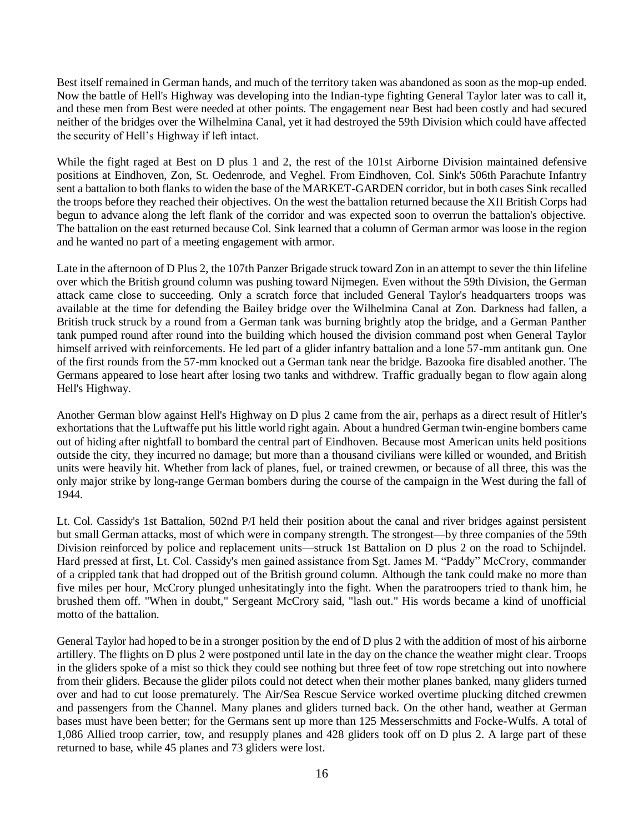Best itself remained in German hands, and much of the territory taken was abandoned as soon as the mop-up ended. Now the battle of Hell's Highway was developing into the Indian-type fighting General Taylor later was to call it, and these men from Best were needed at other points. The engagement near Best had been costly and had secured neither of the bridges over the Wilhelmina Canal, yet it had destroyed the 59th Division which could have affected the security of Hell's Highway if left intact.

While the fight raged at Best on D plus 1 and 2, the rest of the 101st Airborne Division maintained defensive positions at Eindhoven, Zon, St. Oedenrode, and Veghel. From Eindhoven, Col. Sink's 506th Parachute Infantry sent a battalion to both flanks to widen the base of the MARKET-GARDEN corridor, but in both cases Sink recalled the troops before they reached their objectives. On the west the battalion returned because the XII British Corps had begun to advance along the left flank of the corridor and was expected soon to overrun the battalion's objective. The battalion on the east returned because Col. Sink learned that a column of German armor was loose in the region and he wanted no part of a meeting engagement with armor.

Late in the afternoon of D Plus 2, the 107th Panzer Brigade struck toward Zon in an attempt to sever the thin lifeline over which the British ground column was pushing toward Nijmegen. Even without the 59th Division, the German attack came close to succeeding. Only a scratch force that included General Taylor's headquarters troops was available at the time for defending the Bailey bridge over the Wilhelmina Canal at Zon. Darkness had fallen, a British truck struck by a round from a German tank was burning brightly atop the bridge, and a German Panther tank pumped round after round into the building which housed the division command post when General Taylor himself arrived with reinforcements. He led part of a glider infantry battalion and a lone 57-mm antitank gun. One of the first rounds from the 57-mm knocked out a German tank near the bridge. Bazooka fire disabled another. The Germans appeared to lose heart after losing two tanks and withdrew. Traffic gradually began to flow again along Hell's Highway.

Another German blow against Hell's Highway on D plus 2 came from the air, perhaps as a direct result of Hitler's exhortations that the Luftwaffe put his little world right again. About a hundred German twin-engine bombers came out of hiding after nightfall to bombard the central part of Eindhoven. Because most American units held positions outside the city, they incurred no damage; but more than a thousand civilians were killed or wounded, and British units were heavily hit. Whether from lack of planes, fuel, or trained crewmen, or because of all three, this was the only major strike by long-range German bombers during the course of the campaign in the West during the fall of 1944.

Lt. Col. Cassidy's 1st Battalion, 502nd P/I held their position about the canal and river bridges against persistent but small German attacks, most of which were in company strength. The strongest—by three companies of the 59th Division reinforced by police and replacement units—struck 1st Battalion on D plus 2 on the road to Schijndel. Hard pressed at first, Lt. Col. Cassidy's men gained assistance from Sgt. James M. "Paddy" McCrory, commander of a crippled tank that had dropped out of the British ground column. Although the tank could make no more than five miles per hour, McCrory plunged unhesitatingly into the fight. When the paratroopers tried to thank him, he brushed them off. "When in doubt," Sergeant McCrory said, "lash out." His words became a kind of unofficial motto of the battalion.

General Taylor had hoped to be in a stronger position by the end of D plus 2 with the addition of most of his airborne artillery. The flights on D plus 2 were postponed until late in the day on the chance the weather might clear. Troops in the gliders spoke of a mist so thick they could see nothing but three feet of tow rope stretching out into nowhere from their gliders. Because the glider pilots could not detect when their mother planes banked, many gliders turned over and had to cut loose prematurely. The Air/Sea Rescue Service worked overtime plucking ditched crewmen and passengers from the Channel. Many planes and gliders turned back. On the other hand, weather at German bases must have been better; for the Germans sent up more than 125 Messerschmitts and Focke-Wulfs. A total of 1,086 Allied troop carrier, tow, and resupply planes and 428 gliders took off on D plus 2. A large part of these returned to base, while 45 planes and 73 gliders were lost.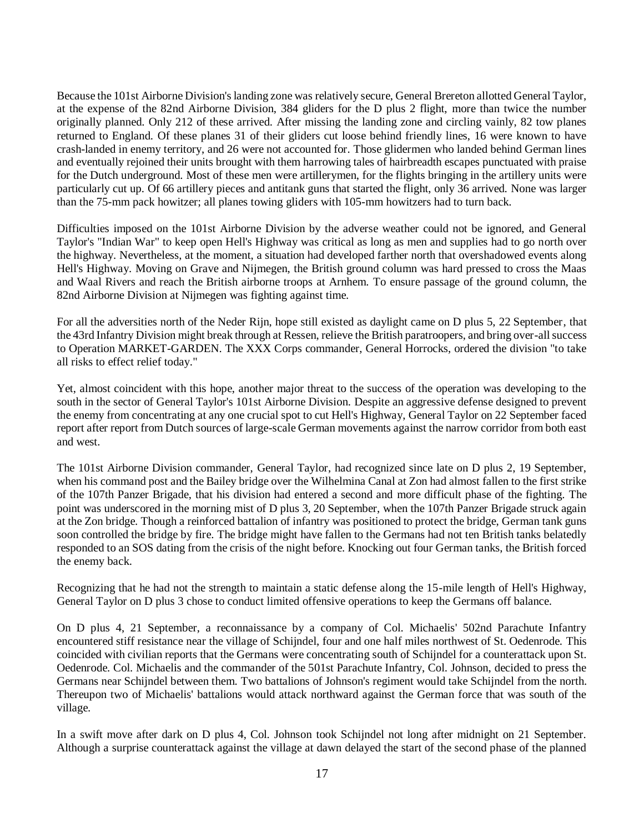Because the 101st Airborne Division's landing zone was relatively secure, General Brereton allotted General Taylor, at the expense of the 82nd Airborne Division, 384 gliders for the D plus 2 flight, more than twice the number originally planned. Only 212 of these arrived. After missing the landing zone and circling vainly, 82 tow planes returned to England. Of these planes 31 of their gliders cut loose behind friendly lines, 16 were known to have crash-landed in enemy territory, and 26 were not accounted for. Those glidermen who landed behind German lines and eventually rejoined their units brought with them harrowing tales of hairbreadth escapes punctuated with praise for the Dutch underground. Most of these men were artillerymen, for the flights bringing in the artillery units were particularly cut up. Of 66 artillery pieces and antitank guns that started the flight, only 36 arrived. None was larger than the 75-mm pack howitzer; all planes towing gliders with 105-mm howitzers had to turn back.

Difficulties imposed on the 101st Airborne Division by the adverse weather could not be ignored, and General Taylor's "Indian War" to keep open Hell's Highway was critical as long as men and supplies had to go north over the highway. Nevertheless, at the moment, a situation had developed farther north that overshadowed events along Hell's Highway. Moving on Grave and Nijmegen, the British ground column was hard pressed to cross the Maas and Waal Rivers and reach the British airborne troops at Arnhem. To ensure passage of the ground column, the 82nd Airborne Division at Nijmegen was fighting against time.

For all the adversities north of the Neder Rijn, hope still existed as daylight came on D plus 5, 22 September, that the 43rd Infantry Division might break through at Ressen, relieve the British paratroopers, and bring over-all success to Operation MARKET-GARDEN. The XXX Corps commander, General Horrocks, ordered the division "to take all risks to effect relief today."

Yet, almost coincident with this hope, another major threat to the success of the operation was developing to the south in the sector of General Taylor's 101st Airborne Division. Despite an aggressive defense designed to prevent the enemy from concentrating at any one crucial spot to cut Hell's Highway, General Taylor on 22 September faced report after report from Dutch sources of large-scale German movements against the narrow corridor from both east and west.

The 101st Airborne Division commander, General Taylor, had recognized since late on D plus 2, 19 September, when his command post and the Bailey bridge over the Wilhelmina Canal at Zon had almost fallen to the first strike of the 107th Panzer Brigade, that his division had entered a second and more difficult phase of the fighting. The point was underscored in the morning mist of D plus 3, 20 September, when the 107th Panzer Brigade struck again at the Zon bridge. Though a reinforced battalion of infantry was positioned to protect the bridge, German tank guns soon controlled the bridge by fire. The bridge might have fallen to the Germans had not ten British tanks belatedly responded to an SOS dating from the crisis of the night before. Knocking out four German tanks, the British forced the enemy back.

Recognizing that he had not the strength to maintain a static defense along the 15-mile length of Hell's Highway, General Taylor on D plus 3 chose to conduct limited offensive operations to keep the Germans off balance.

On D plus 4, 21 September, a reconnaissance by a company of Col. Michaelis' 502nd Parachute Infantry encountered stiff resistance near the village of Schijndel, four and one half miles northwest of St. Oedenrode. This coincided with civilian reports that the Germans were concentrating south of Schijndel for a counterattack upon St. Oedenrode. Col. Michaelis and the commander of the 501st Parachute Infantry, Col. Johnson, decided to press the Germans near Schijndel between them. Two battalions of Johnson's regiment would take Schijndel from the north. Thereupon two of Michaelis' battalions would attack northward against the German force that was south of the village.

In a swift move after dark on D plus 4, Col. Johnson took Schijndel not long after midnight on 21 September. Although a surprise counterattack against the village at dawn delayed the start of the second phase of the planned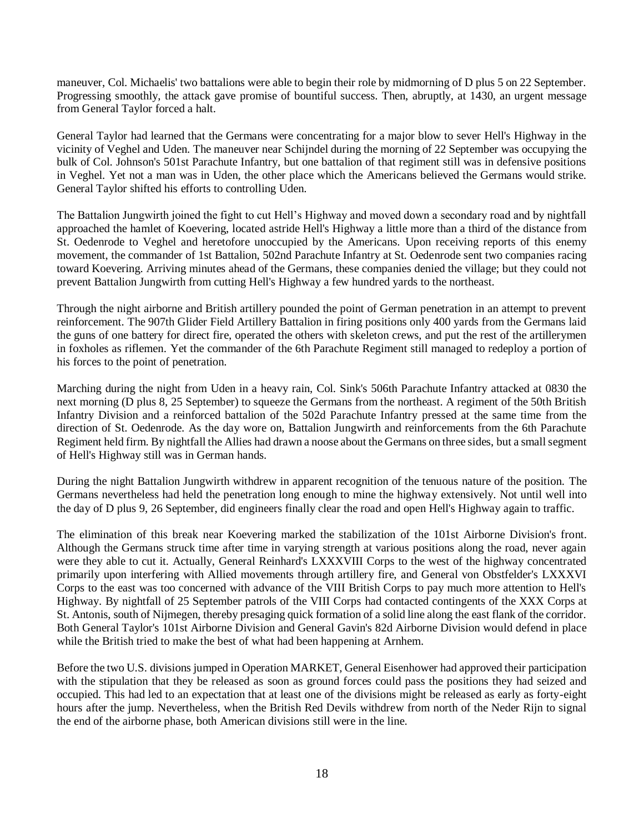maneuver, Col. Michaelis' two battalions were able to begin their role by midmorning of D plus 5 on 22 September. Progressing smoothly, the attack gave promise of bountiful success. Then, abruptly, at 1430, an urgent message from General Taylor forced a halt.

General Taylor had learned that the Germans were concentrating for a major blow to sever Hell's Highway in the vicinity of Veghel and Uden. The maneuver near Schijndel during the morning of 22 September was occupying the bulk of Col. Johnson's 501st Parachute Infantry, but one battalion of that regiment still was in defensive positions in Veghel. Yet not a man was in Uden, the other place which the Americans believed the Germans would strike. General Taylor shifted his efforts to controlling Uden.

The Battalion Jungwirth joined the fight to cut Hell's Highway and moved down a secondary road and by nightfall approached the hamlet of Koevering, located astride Hell's Highway a little more than a third of the distance from St. Oedenrode to Veghel and heretofore unoccupied by the Americans. Upon receiving reports of this enemy movement, the commander of 1st Battalion, 502nd Parachute Infantry at St. Oedenrode sent two companies racing toward Koevering. Arriving minutes ahead of the Germans, these companies denied the village; but they could not prevent Battalion Jungwirth from cutting Hell's Highway a few hundred yards to the northeast.

Through the night airborne and British artillery pounded the point of German penetration in an attempt to prevent reinforcement. The 907th Glider Field Artillery Battalion in firing positions only 400 yards from the Germans laid the guns of one battery for direct fire, operated the others with skeleton crews, and put the rest of the artillerymen in foxholes as riflemen. Yet the commander of the 6th Parachute Regiment still managed to redeploy a portion of his forces to the point of penetration.

Marching during the night from Uden in a heavy rain, Col. Sink's 506th Parachute Infantry attacked at 0830 the next morning (D plus 8, 25 September) to squeeze the Germans from the northeast. A regiment of the 50th British Infantry Division and a reinforced battalion of the 502d Parachute Infantry pressed at the same time from the direction of St. Oedenrode. As the day wore on, Battalion Jungwirth and reinforcements from the 6th Parachute Regiment held firm. By nightfall the Allies had drawn a noose about the Germans on three sides, but a small segment of Hell's Highway still was in German hands.

During the night Battalion Jungwirth withdrew in apparent recognition of the tenuous nature of the position. The Germans nevertheless had held the penetration long enough to mine the highway extensively. Not until well into the day of D plus 9, 26 September, did engineers finally clear the road and open Hell's Highway again to traffic.

The elimination of this break near Koevering marked the stabilization of the 101st Airborne Division's front. Although the Germans struck time after time in varying strength at various positions along the road, never again were they able to cut it. Actually, General Reinhard's LXXXVIII Corps to the west of the highway concentrated primarily upon interfering with Allied movements through artillery fire, and General von Obstfelder's LXXXVI Corps to the east was too concerned with advance of the VIII British Corps to pay much more attention to Hell's Highway. By nightfall of 25 September patrols of the VIII Corps had contacted contingents of the XXX Corps at St. Antonis, south of Nijmegen, thereby presaging quick formation of a solid line along the east flank of the corridor. Both General Taylor's 101st Airborne Division and General Gavin's 82d Airborne Division would defend in place while the British tried to make the best of what had been happening at Arnhem.

Before the two U.S. divisions jumped in Operation MARKET, General Eisenhower had approved their participation with the stipulation that they be released as soon as ground forces could pass the positions they had seized and occupied. This had led to an expectation that at least one of the divisions might be released as early as forty-eight hours after the jump. Nevertheless, when the British Red Devils withdrew from north of the Neder Rijn to signal the end of the airborne phase, both American divisions still were in the line.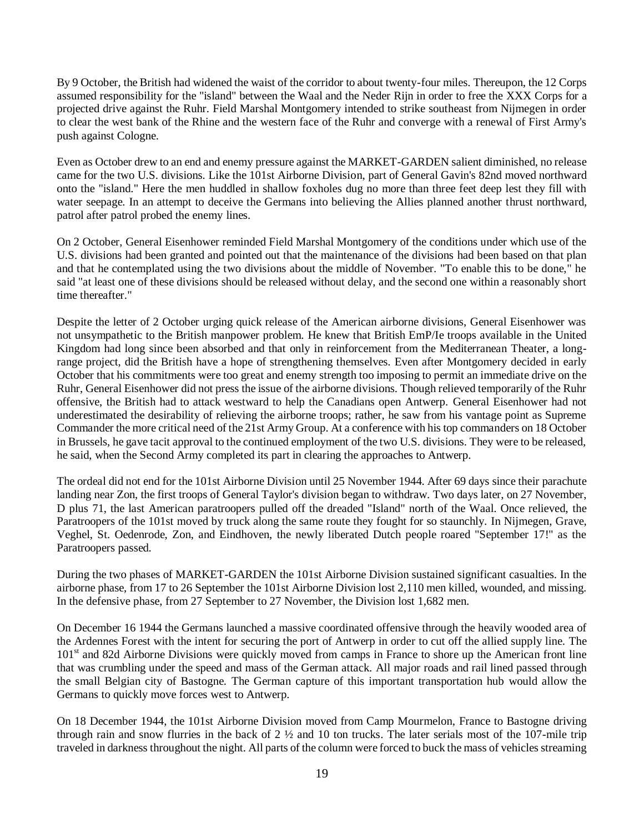By 9 October, the British had widened the waist of the corridor to about twenty-four miles. Thereupon, the 12 Corps assumed responsibility for the "island" between the Waal and the Neder Rijn in order to free the XXX Corps for a projected drive against the Ruhr. Field Marshal Montgomery intended to strike southeast from Nijmegen in order to clear the west bank of the Rhine and the western face of the Ruhr and converge with a renewal of First Army's push against Cologne.

Even as October drew to an end and enemy pressure against the MARKET-GARDEN salient diminished, no release came for the two U.S. divisions. Like the 101st Airborne Division, part of General Gavin's 82nd moved northward onto the "island." Here the men huddled in shallow foxholes dug no more than three feet deep lest they fill with water seepage. In an attempt to deceive the Germans into believing the Allies planned another thrust northward, patrol after patrol probed the enemy lines.

On 2 October, General Eisenhower reminded Field Marshal Montgomery of the conditions under which use of the U.S. divisions had been granted and pointed out that the maintenance of the divisions had been based on that plan and that he contemplated using the two divisions about the middle of November. "To enable this to be done," he said "at least one of these divisions should be released without delay, and the second one within a reasonably short time thereafter."

Despite the letter of 2 October urging quick release of the American airborne divisions, General Eisenhower was not unsympathetic to the British manpower problem. He knew that British EmP/Ie troops available in the United Kingdom had long since been absorbed and that only in reinforcement from the Mediterranean Theater, a longrange project, did the British have a hope of strengthening themselves. Even after Montgomery decided in early October that his commitments were too great and enemy strength too imposing to permit an immediate drive on the Ruhr, General Eisenhower did not press the issue of the airborne divisions. Though relieved temporarily of the Ruhr offensive, the British had to attack westward to help the Canadians open Antwerp. General Eisenhower had not underestimated the desirability of relieving the airborne troops; rather, he saw from his vantage point as Supreme Commander the more critical need of the 21st Army Group. At a conference with his top commanders on 18 October in Brussels, he gave tacit approval to the continued employment of the two U.S. divisions. They were to be released, he said, when the Second Army completed its part in clearing the approaches to Antwerp.

The ordeal did not end for the 101st Airborne Division until 25 November 1944. After 69 days since their parachute landing near Zon, the first troops of General Taylor's division began to withdraw. Two days later, on 27 November, D plus 71, the last American paratroopers pulled off the dreaded "Island" north of the Waal. Once relieved, the Paratroopers of the 101st moved by truck along the same route they fought for so staunchly. In Nijmegen, Grave, Veghel, St. Oedenrode, Zon, and Eindhoven, the newly liberated Dutch people roared "September 17!" as the Paratroopers passed.

During the two phases of MARKET-GARDEN the 101st Airborne Division sustained significant casualties. In the airborne phase, from 17 to 26 September the 101st Airborne Division lost 2,110 men killed, wounded, and missing. In the defensive phase, from 27 September to 27 November, the Division lost 1,682 men.

On December 16 1944 the Germans launched a massive coordinated offensive through the heavily wooded area of the Ardennes Forest with the intent for securing the port of Antwerp in order to cut off the allied supply line. The 101<sup>st</sup> and 82d Airborne Divisions were quickly moved from camps in France to shore up the American front line that was crumbling under the speed and mass of the German attack. All major roads and rail lined passed through the small Belgian city of Bastogne. The German capture of this important transportation hub would allow the Germans to quickly move forces west to Antwerp.

On 18 December 1944, the 101st Airborne Division moved from Camp Mourmelon, France to Bastogne driving through rain and snow flurries in the back of 2 ½ and 10 ton trucks. The later serials most of the 107-mile trip traveled in darkness throughout the night. All parts of the column were forced to buck the mass of vehicles streaming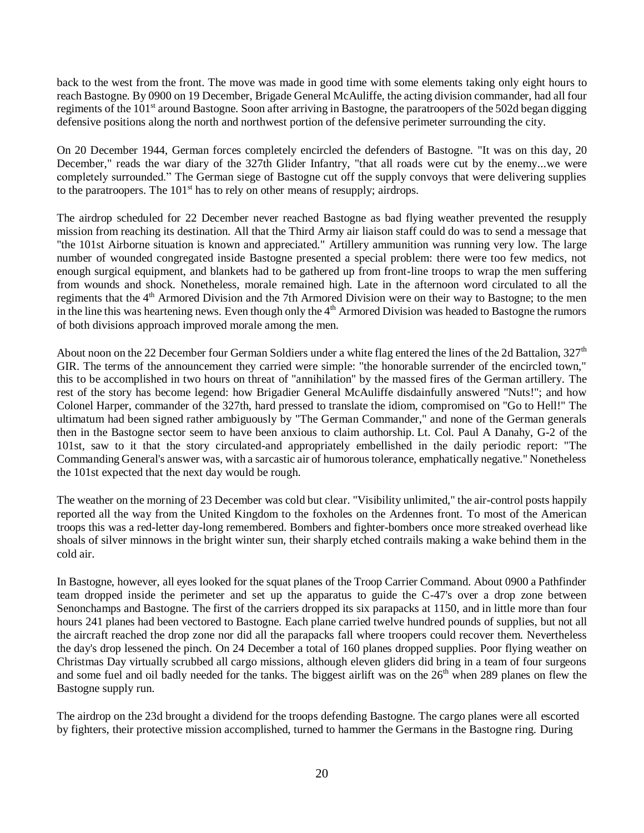back to the west from the front. The move was made in good time with some elements taking only eight hours to reach Bastogne. By 0900 on 19 December, Brigade General McAuliffe, the acting division commander, had all four regiments of the 101<sup>st</sup> around Bastogne. Soon after arriving in Bastogne, the paratroopers of the 502d began digging defensive positions along the north and northwest portion of the defensive perimeter surrounding the city.

On 20 December 1944, German forces completely encircled the defenders of Bastogne. "It was on this day, 20 December," reads the war diary of the 327th Glider Infantry, "that all roads were cut by the enemy...we were completely surrounded." The German siege of Bastogne cut off the supply convoys that were delivering supplies to the paratroopers. The  $101<sup>st</sup>$  has to rely on other means of resupply; airdrops.

The airdrop scheduled for 22 December never reached Bastogne as bad flying weather prevented the resupply mission from reaching its destination. All that the Third Army air liaison staff could do was to send a message that "the 101st Airborne situation is known and appreciated." Artillery ammunition was running very low. The large number of wounded congregated inside Bastogne presented a special problem: there were too few medics, not enough surgical equipment, and blankets had to be gathered up from front-line troops to wrap the men suffering from wounds and shock. Nonetheless, morale remained high. Late in the afternoon word circulated to all the regiments that the 4<sup>th</sup> Armored Division and the 7th Armored Division were on their way to Bastogne; to the men in the line this was heartening news. Even though only the 4<sup>th</sup> Armored Division was headed to Bastogne the rumors of both divisions approach improved morale among the men.

About noon on the 22 December four German Soldiers under a white flag entered the lines of the 2d Battalion,  $327<sup>th</sup>$ GIR. The terms of the announcement they carried were simple: "the honorable surrender of the encircled town," this to be accomplished in two hours on threat of "annihilation" by the massed fires of the German artillery. The rest of the story has become legend: how Brigadier General McAuliffe disdainfully answered "Nuts!"; and how Colonel Harper, commander of the 327th, hard pressed to translate the idiom, compromised on "Go to Hell!" The ultimatum had been signed rather ambiguously by "The German Commander," and none of the German generals then in the Bastogne sector seem to have been anxious to claim authorship. Lt. Col. Paul A Danahy, G-2 of the 101st, saw to it that the story circulated-and appropriately embellished in the daily periodic report: "The Commanding General's answer was, with a sarcastic air of humorous tolerance, emphatically negative." Nonetheless the 101st expected that the next day would be rough.

The weather on the morning of 23 December was cold but clear. "Visibility unlimited," the air-control posts happily reported all the way from the United Kingdom to the foxholes on the Ardennes front. To most of the American troops this was a red-letter day-long remembered. Bombers and fighter-bombers once more streaked overhead like shoals of silver minnows in the bright winter sun, their sharply etched contrails making a wake behind them in the cold air.

In Bastogne, however, all eyes looked for the squat planes of the Troop Carrier Command. About 0900 a Pathfinder team dropped inside the perimeter and set up the apparatus to guide the C-47's over a drop zone between Senonchamps and Bastogne. The first of the carriers dropped its six parapacks at 1150, and in little more than four hours 241 planes had been vectored to Bastogne. Each plane carried twelve hundred pounds of supplies, but not all the aircraft reached the drop zone nor did all the parapacks fall where troopers could recover them. Nevertheless the day's drop lessened the pinch. On 24 December a total of 160 planes dropped supplies. Poor flying weather on Christmas Day virtually scrubbed all cargo missions, although eleven gliders did bring in a team of four surgeons and some fuel and oil badly needed for the tanks. The biggest airlift was on the  $26<sup>th</sup>$  when 289 planes on flew the Bastogne supply run.

The airdrop on the 23d brought a dividend for the troops defending Bastogne. The cargo planes were all escorted by fighters, their protective mission accomplished, turned to hammer the Germans in the Bastogne ring. During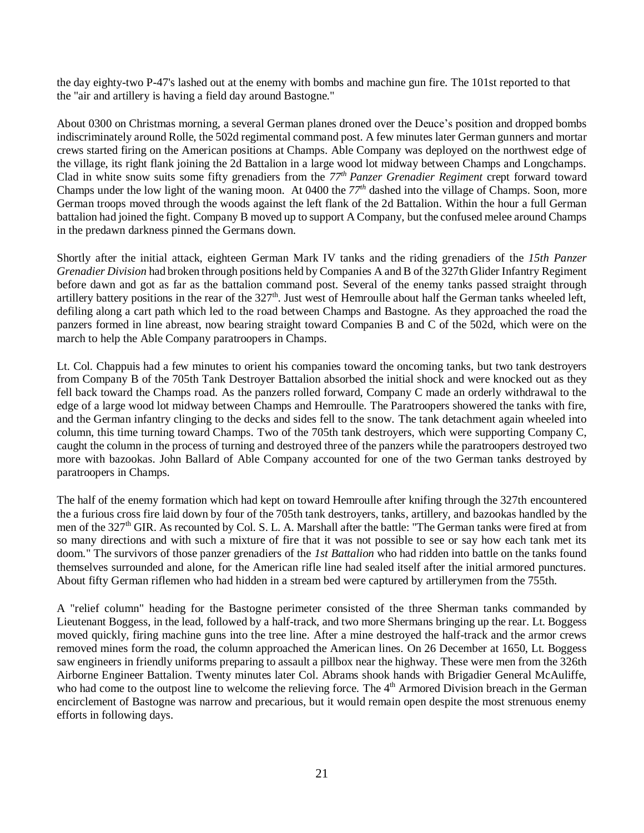the day eighty-two P-47's lashed out at the enemy with bombs and machine gun fire. The 101st reported to that the "air and artillery is having a field day around Bastogne."

About 0300 on Christmas morning, a several German planes droned over the Deuce's position and dropped bombs indiscriminately around Rolle, the 502d regimental command post. A few minutes later German gunners and mortar crews started firing on the American positions at Champs. Able Company was deployed on the northwest edge of the village, its right flank joining the 2d Battalion in a large wood lot midway between Champs and Longchamps. Clad in white snow suits some fifty grenadiers from the *77th Panzer Grenadier Regiment* crept forward toward Champs under the low light of the waning moon. At 0400 the *77th* dashed into the village of Champs. Soon, more German troops moved through the woods against the left flank of the 2d Battalion. Within the hour a full German battalion had joined the fight. Company B moved up to support A Company, but the confused melee around Champs in the predawn darkness pinned the Germans down.

Shortly after the initial attack, eighteen German Mark IV tanks and the riding grenadiers of the *15th Panzer Grenadier Division* had broken through positions held by Companies A and B of the 327th Glider Infantry Regiment before dawn and got as far as the battalion command post. Several of the enemy tanks passed straight through artillery battery positions in the rear of the  $327<sup>th</sup>$ . Just west of Hemroulle about half the German tanks wheeled left, defiling along a cart path which led to the road between Champs and Bastogne. As they approached the road the panzers formed in line abreast, now bearing straight toward Companies B and C of the 502d, which were on the march to help the Able Company paratroopers in Champs.

Lt. Col. Chappuis had a few minutes to orient his companies toward the oncoming tanks, but two tank destroyers from Company B of the 705th Tank Destroyer Battalion absorbed the initial shock and were knocked out as they fell back toward the Champs road. As the panzers rolled forward, Company C made an orderly withdrawal to the edge of a large wood lot midway between Champs and Hemroulle. The Paratroopers showered the tanks with fire, and the German infantry clinging to the decks and sides fell to the snow. The tank detachment again wheeled into column, this time turning toward Champs. Two of the 705th tank destroyers, which were supporting Company C, caught the column in the process of turning and destroyed three of the panzers while the paratroopers destroyed two more with bazookas. John Ballard of Able Company accounted for one of the two German tanks destroyed by paratroopers in Champs.

The half of the enemy formation which had kept on toward Hemroulle after knifing through the 327th encountered the a furious cross fire laid down by four of the 705th tank destroyers, tanks, artillery, and bazookas handled by the men of the 327<sup>th</sup> GIR. As recounted by Col. S. L. A. Marshall after the battle: "The German tanks were fired at from so many directions and with such a mixture of fire that it was not possible to see or say how each tank met its doom." The survivors of those panzer grenadiers of the *1st Battalion* who had ridden into battle on the tanks found themselves surrounded and alone, for the American rifle line had sealed itself after the initial armored punctures. About fifty German riflemen who had hidden in a stream bed were captured by artillerymen from the 755th.

A "relief column" heading for the Bastogne perimeter consisted of the three Sherman tanks commanded by Lieutenant Boggess, in the lead, followed by a half-track, and two more Shermans bringing up the rear. Lt. Boggess moved quickly, firing machine guns into the tree line. After a mine destroyed the half-track and the armor crews removed mines form the road, the column approached the American lines. On 26 December at 1650, Lt. Boggess saw engineers in friendly uniforms preparing to assault a pillbox near the highway. These were men from the 326th Airborne Engineer Battalion. Twenty minutes later Col. Abrams shook hands with Brigadier General McAuliffe, who had come to the outpost line to welcome the relieving force. The 4<sup>th</sup> Armored Division breach in the German encirclement of Bastogne was narrow and precarious, but it would remain open despite the most strenuous enemy efforts in following days.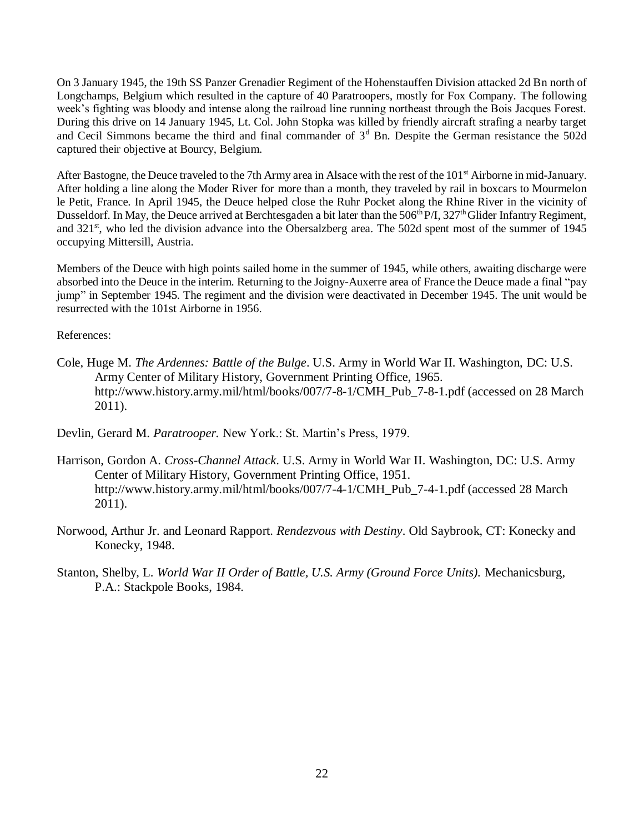On 3 January 1945, the 19th SS Panzer Grenadier Regiment of the Hohenstauffen Division attacked 2d Bn north of Longchamps, Belgium which resulted in the capture of 40 Paratroopers, mostly for Fox Company. The following week's fighting was bloody and intense along the railroad line running northeast through the Bois Jacques Forest. During this drive on 14 January 1945, Lt. Col. John Stopka was killed by friendly aircraft strafing a nearby target and Cecil Simmons became the third and final commander of  $3<sup>d</sup>$  Bn. Despite the German resistance the 502d captured their objective at Bourcy, Belgium.

After Bastogne, the Deuce traveled to the 7th Army area in Alsace with the rest of the  $101<sup>st</sup>$  Airborne in mid-January. After holding a line along the Moder River for more than a month, they traveled by rail in boxcars to Mourmelon le Petit, France. In April 1945, the Deuce helped close the Ruhr Pocket along the Rhine River in the vicinity of Dusseldorf. In May, the Deuce arrived at Berchtesgaden a bit later than the  $506<sup>th</sup>P/I$ ,  $327<sup>th</sup>Glider Infantry Regiment$ , and 321st, who led the division advance into the Obersalzberg area. The 502d spent most of the summer of 1945 occupying Mittersill, Austria.

Members of the Deuce with high points sailed home in the summer of 1945, while others, awaiting discharge were absorbed into the Deuce in the interim. Returning to the Joigny-Auxerre area of France the Deuce made a final "pay jump" in September 1945. The regiment and the division were deactivated in December 1945. The unit would be resurrected with the 101st Airborne in 1956.

References:

Cole, Huge M. *The Ardennes: Battle of the Bulge*. U.S. Army in World War II. Washington, DC: U.S. Army Center of Military History, Government Printing Office, 1965. http://www.history.army.mil/html/books/007/7-8-1/CMH\_Pub\_7-8-1.pdf (accessed on 28 March 2011).

Devlin, Gerard M. *Paratrooper.* New York.: St. Martin's Press, 1979.

- Harrison, Gordon A. *Cross-Channel Attack*. U.S. Army in World War II. Washington, DC: U.S. Army Center of Military History, Government Printing Office, 1951. http://www.history.army.mil/html/books/007/7-4-1/CMH\_Pub\_7-4-1.pdf (accessed 28 March 2011).
- Norwood, Arthur Jr. and Leonard Rapport. *Rendezvous with Destiny*. Old Saybrook, CT: Konecky and Konecky, 1948.
- Stanton, Shelby, L. *World War II Order of Battle, U.S. Army (Ground Force Units).* Mechanicsburg, P.A.: Stackpole Books, 1984.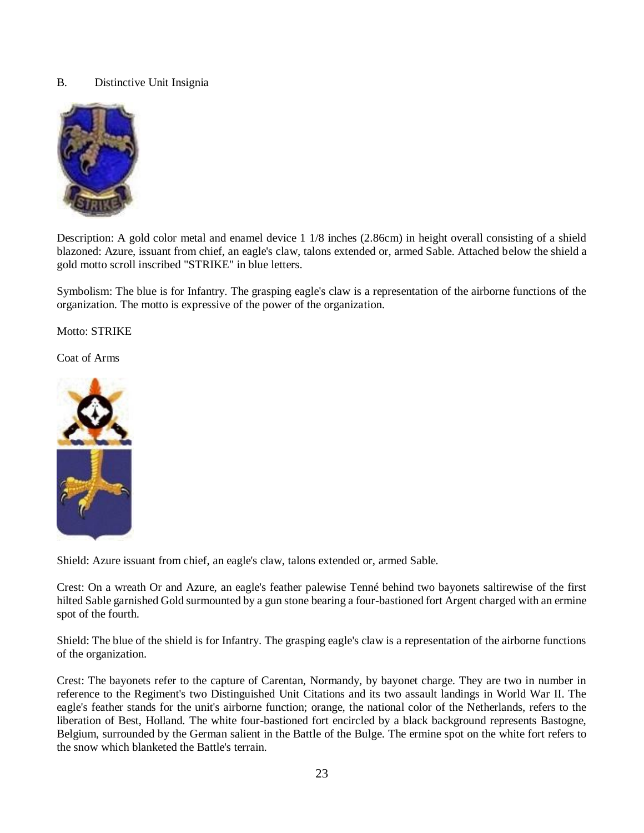#### B. Distinctive Unit Insignia



Description: A gold color metal and enamel device 1 1/8 inches (2.86cm) in height overall consisting of a shield blazoned: Azure, issuant from chief, an eagle's claw, talons extended or, armed Sable. Attached below the shield a gold motto scroll inscribed "STRIKE" in blue letters.

Symbolism: The blue is for Infantry. The grasping eagle's claw is a representation of the airborne functions of the organization. The motto is expressive of the power of the organization.

Motto: STRIKE

Coat of Arms



Shield: Azure issuant from chief, an eagle's claw, talons extended or, armed Sable.

Crest: On a wreath Or and Azure, an eagle's feather palewise Tenné behind two bayonets saltirewise of the first hilted Sable garnished Gold surmounted by a gun stone bearing a four-bastioned fort Argent charged with an ermine spot of the fourth.

Shield: The blue of the shield is for Infantry. The grasping eagle's claw is a representation of the airborne functions of the organization.

Crest: The bayonets refer to the capture of Carentan, Normandy, by bayonet charge. They are two in number in reference to the Regiment's two Distinguished Unit Citations and its two assault landings in World War II. The eagle's feather stands for the unit's airborne function; orange, the national color of the Netherlands, refers to the liberation of Best, Holland. The white four-bastioned fort encircled by a black background represents Bastogne, Belgium, surrounded by the German salient in the Battle of the Bulge. The ermine spot on the white fort refers to the snow which blanketed the Battle's terrain.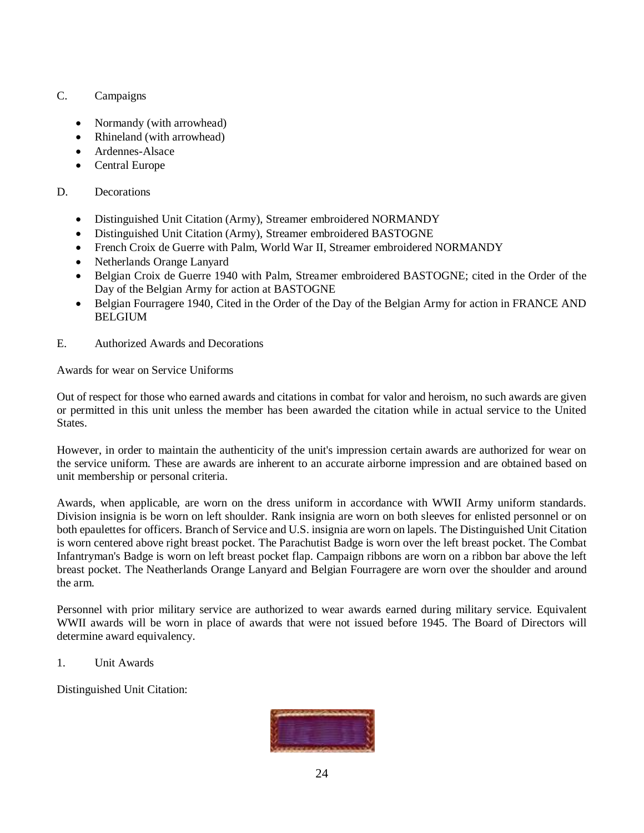# C. Campaigns

- Normandy (with arrowhead)
- Rhineland (with arrowhead)
- Ardennes-Alsace
- Central Europe

# D. Decorations

- Distinguished Unit Citation (Army), Streamer embroidered NORMANDY
- Distinguished Unit Citation (Army), Streamer embroidered BASTOGNE
- French Croix de Guerre with Palm, World War II, Streamer embroidered NORMANDY
- Netherlands Orange Lanyard
- Belgian Croix de Guerre 1940 with Palm, Streamer embroidered BASTOGNE; cited in the Order of the Day of the Belgian Army for action at BASTOGNE
- Belgian Fourragere 1940, Cited in the Order of the Day of the Belgian Army for action in FRANCE AND BELGIUM
- E. Authorized Awards and Decorations

Awards for wear on Service Uniforms

Out of respect for those who earned awards and citations in combat for valor and heroism, no such awards are given or permitted in this unit unless the member has been awarded the citation while in actual service to the United **States** 

However, in order to maintain the authenticity of the unit's impression certain awards are authorized for wear on the service uniform. These are awards are inherent to an accurate airborne impression and are obtained based on unit membership or personal criteria.

Awards, when applicable, are worn on the dress uniform in accordance with WWII Army uniform standards. Division insignia is be worn on left shoulder. Rank insignia are worn on both sleeves for enlisted personnel or on both epaulettes for officers. Branch of Service and U.S. insignia are worn on lapels. The Distinguished Unit Citation is worn centered above right breast pocket. The Parachutist Badge is worn over the left breast pocket. The Combat Infantryman's Badge is worn on left breast pocket flap. Campaign ribbons are worn on a ribbon bar above the left breast pocket. The Neatherlands Orange Lanyard and Belgian Fourragere are worn over the shoulder and around the arm.

Personnel with prior military service are authorized to wear awards earned during military service. Equivalent WWII awards will be worn in place of awards that were not issued before 1945. The Board of Directors will determine award equivalency.

#### 1. Unit Awards

Distinguished Unit Citation:

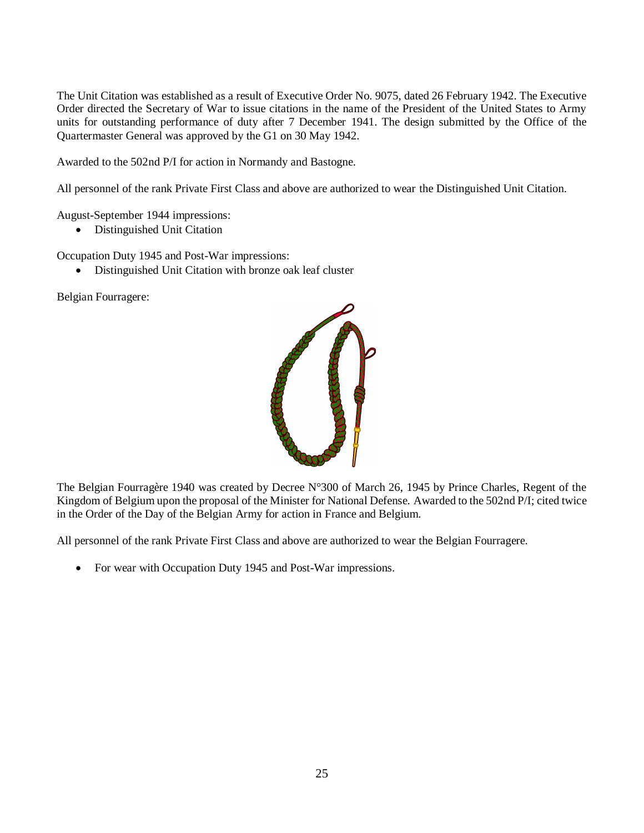The Unit Citation was established as a result of Executive Order No. 9075, dated 26 February 1942. The Executive Order directed the Secretary of War to issue citations in the name of the President of the United States to Army units for outstanding performance of duty after 7 December 1941. The design submitted by the Office of the Quartermaster General was approved by the G1 on 30 May 1942.

Awarded to the 502nd P/I for action in Normandy and Bastogne.

All personnel of the rank Private First Class and above are authorized to wear the Distinguished Unit Citation.

August-September 1944 impressions:

Distinguished Unit Citation

Occupation Duty 1945 and Post-War impressions:

Distinguished Unit Citation with bronze oak leaf cluster

Belgian Fourragere:



The Belgian Fourragère 1940 was created by Decree N°300 of March 26, 1945 by Prince Charles, Regent of the Kingdom of Belgium upon the proposal of the Minister for National Defense. Awarded to the 502nd P/I; cited twice in the Order of the Day of the Belgian Army for action in France and Belgium.

All personnel of the rank Private First Class and above are authorized to wear the Belgian Fourragere.

• For wear with Occupation Duty 1945 and Post-War impressions.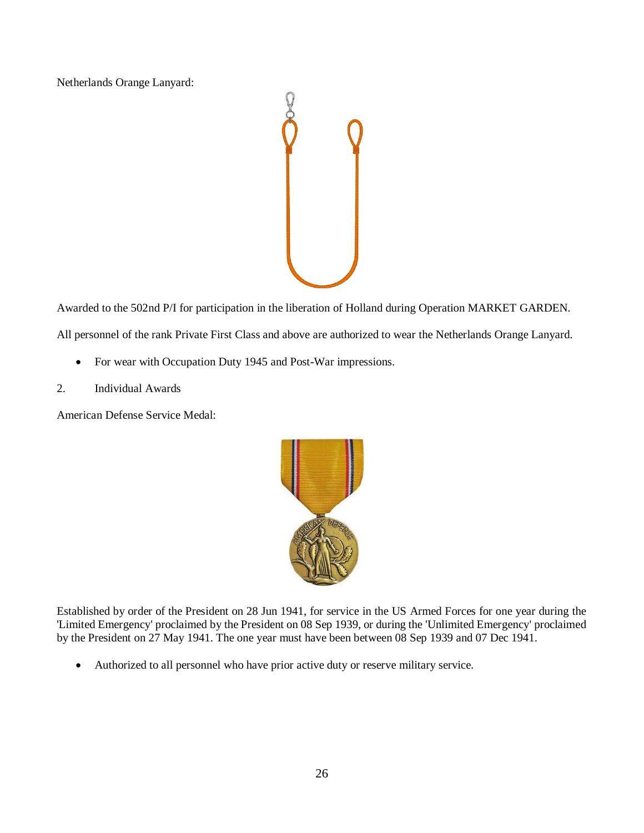Netherlands Orange Lanyard:



Awarded to the 502nd P/I for participation in the liberation of Holland during Operation MARKET GARDEN. All personnel of the rank Private First Class and above are authorized to wear the Netherlands Orange Lanyard.

- For wear with Occupation Duty 1945 and Post-War impressions.
- 2. Individual Awards

American Defense Service Medal:



Established by order of the President on 28 Jun 1941, for service in the US Armed Forces for one year during the 'Limited Emergency' proclaimed by the President on 08 Sep 1939, or during the 'Unlimited Emergency' proclaimed by the President on 27 May 1941. The one year must have been between 08 Sep 1939 and 07 Dec 1941.

Authorized to all personnel who have prior active duty or reserve military service.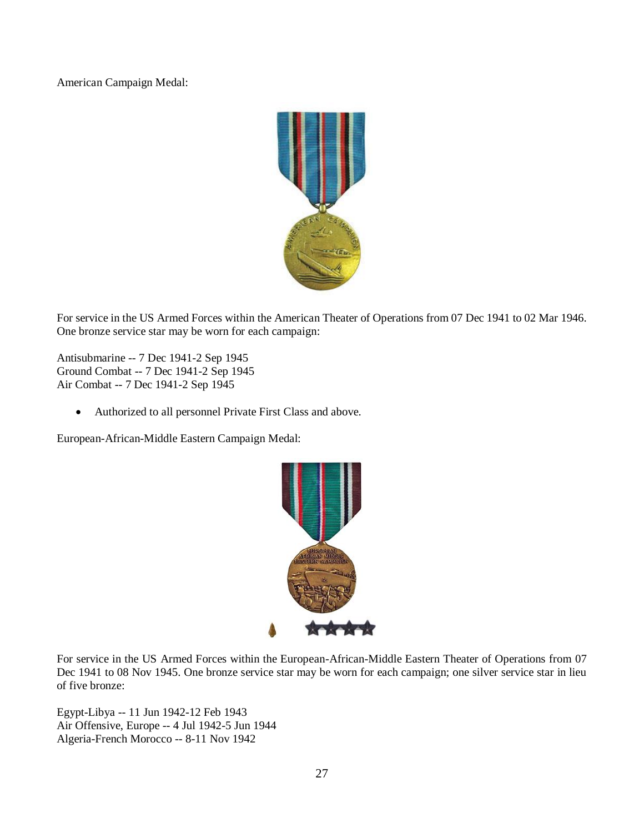American Campaign Medal:



For service in the US Armed Forces within the American Theater of Operations from 07 Dec 1941 to 02 Mar 1946. One bronze service star may be worn for each campaign:

Antisubmarine -- 7 Dec 1941-2 Sep 1945 Ground Combat -- 7 Dec 1941-2 Sep 1945 Air Combat -- 7 Dec 1941-2 Sep 1945

Authorized to all personnel Private First Class and above.

European-African-Middle Eastern Campaign Medal:



For service in the US Armed Forces within the European-African-Middle Eastern Theater of Operations from 07 Dec 1941 to 08 Nov 1945. One bronze service star may be worn for each campaign; one silver service star in lieu of five bronze:

Egypt-Libya -- 11 Jun 1942-12 Feb 1943 Air Offensive, Europe -- 4 Jul 1942-5 Jun 1944 Algeria-French Morocco -- 8-11 Nov 1942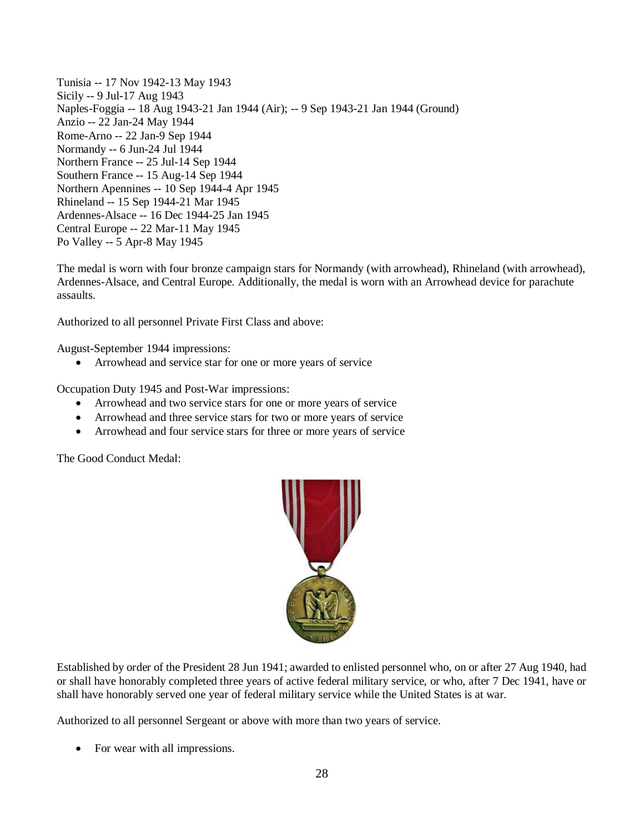Tunisia -- 17 Nov 1942-13 May 1943 Sicily -- 9 Jul-17 Aug 1943 Naples-Foggia -- 18 Aug 1943-21 Jan 1944 (Air); -- 9 Sep 1943-21 Jan 1944 (Ground) Anzio -- 22 Jan-24 May 1944 Rome-Arno -- 22 Jan-9 Sep 1944 Normandy -- 6 Jun-24 Jul 1944 Northern France -- 25 Jul-14 Sep 1944 Southern France -- 15 Aug-14 Sep 1944 Northern Apennines -- 10 Sep 1944-4 Apr 1945 Rhineland -- 15 Sep 1944-21 Mar 1945 Ardennes-Alsace -- 16 Dec 1944-25 Jan 1945 Central Europe -- 22 Mar-11 May 1945 Po Valley -- 5 Apr-8 May 1945

The medal is worn with four bronze campaign stars for Normandy (with arrowhead), Rhineland (with arrowhead), Ardennes-Alsace, and Central Europe. Additionally, the medal is worn with an Arrowhead device for parachute assaults.

Authorized to all personnel Private First Class and above:

August-September 1944 impressions:

Arrowhead and service star for one or more years of service

Occupation Duty 1945 and Post-War impressions:

- Arrowhead and two service stars for one or more years of service
- Arrowhead and three service stars for two or more years of service
- Arrowhead and four service stars for three or more years of service

The Good Conduct Medal:



Established by order of the President 28 Jun 1941; awarded to enlisted personnel who, on or after 27 Aug 1940, had or shall have honorably completed three years of active federal military service, or who, after 7 Dec 1941, have or shall have honorably served one year of federal military service while the United States is at war.

Authorized to all personnel Sergeant or above with more than two years of service.

• For wear with all impressions.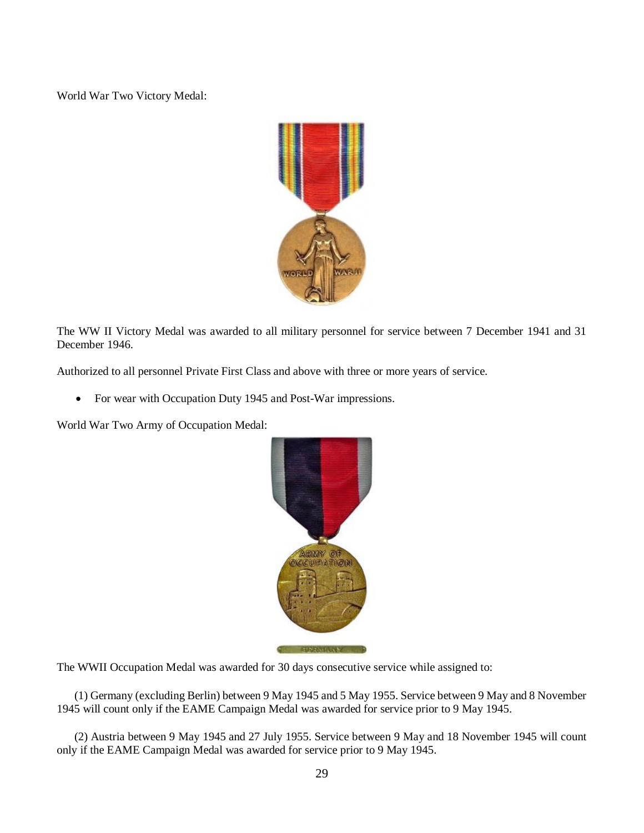World War Two Victory Medal:



The WW II Victory Medal was awarded to all military personnel for service between 7 December 1941 and 31 December 1946.

Authorized to all personnel Private First Class and above with three or more years of service.

• For wear with Occupation Duty 1945 and Post-War impressions.

World War Two Army of Occupation Medal:



The WWII Occupation Medal was awarded for 30 days consecutive service while assigned to:

 (1) Germany (excluding Berlin) between 9 May 1945 and 5 May 1955. Service between 9 May and 8 November 1945 will count only if the EAME Campaign Medal was awarded for service prior to 9 May 1945.

 (2) Austria between 9 May 1945 and 27 July 1955. Service between 9 May and 18 November 1945 will count only if the EAME Campaign Medal was awarded for service prior to 9 May 1945.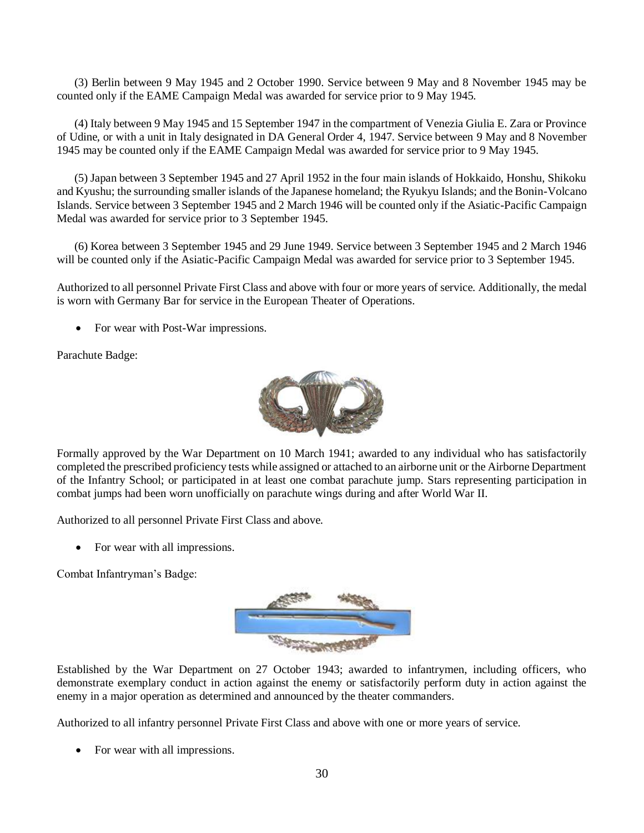(3) Berlin between 9 May 1945 and 2 October 1990. Service between 9 May and 8 November 1945 may be counted only if the EAME Campaign Medal was awarded for service prior to 9 May 1945.

 (4) Italy between 9 May 1945 and 15 September 1947 in the compartment of Venezia Giulia E. Zara or Province of Udine, or with a unit in Italy designated in DA General Order 4, 1947. Service between 9 May and 8 November 1945 may be counted only if the EAME Campaign Medal was awarded for service prior to 9 May 1945.

 (5) Japan between 3 September 1945 and 27 April 1952 in the four main islands of Hokkaido, Honshu, Shikoku and Kyushu; the surrounding smaller islands of the Japanese homeland; the Ryukyu Islands; and the Bonin-Volcano Islands. Service between 3 September 1945 and 2 March 1946 will be counted only if the Asiatic-Pacific Campaign Medal was awarded for service prior to 3 September 1945.

 (6) Korea between 3 September 1945 and 29 June 1949. Service between 3 September 1945 and 2 March 1946 will be counted only if the Asiatic-Pacific Campaign Medal was awarded for service prior to 3 September 1945.

Authorized to all personnel Private First Class and above with four or more years of service. Additionally, the medal is worn with Germany Bar for service in the European Theater of Operations.

• For wear with Post-War impressions.

Parachute Badge:



Formally approved by the War Department on 10 March 1941; awarded to any individual who has satisfactorily completed the prescribed proficiency tests while assigned or attached to an airborne unit or the Airborne Department of the Infantry School; or participated in at least one combat parachute jump. Stars representing participation in combat jumps had been worn unofficially on parachute wings during and after World War II.

Authorized to all personnel Private First Class and above.

• For wear with all impressions.

Combat Infantryman's Badge:



Established by the War Department on 27 October 1943; awarded to infantrymen, including officers, who demonstrate exemplary conduct in action against the enemy or satisfactorily perform duty in action against the enemy in a major operation as determined and announced by the theater commanders.

Authorized to all infantry personnel Private First Class and above with one or more years of service.

For wear with all impressions.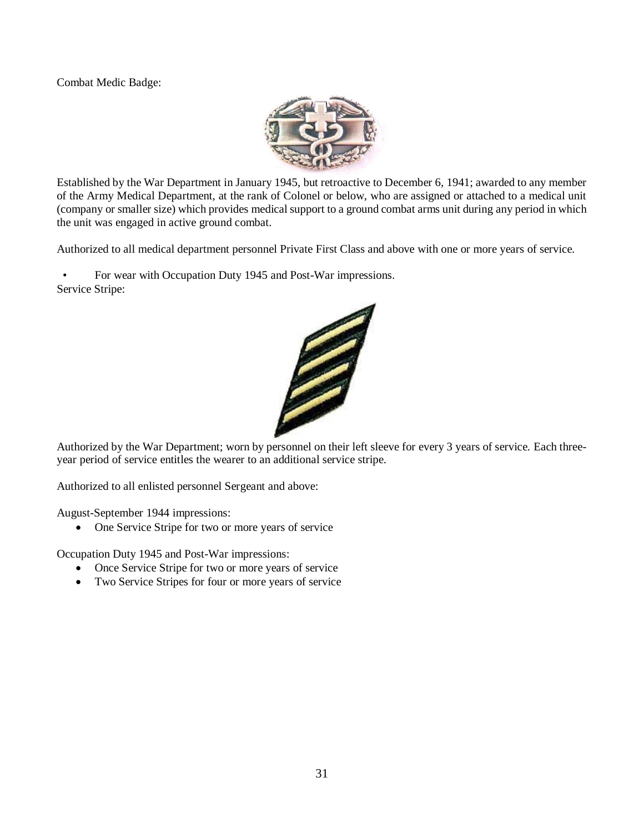Combat Medic Badge:



Established by the War Department in January 1945, but retroactive to December 6, 1941; awarded to any member of the Army Medical Department, at the rank of Colonel or below, who are assigned or attached to a medical unit (company or smaller size) which provides medical support to a ground combat arms unit during any period in which the unit was engaged in active ground combat.

Authorized to all medical department personnel Private First Class and above with one or more years of service.

• For wear with Occupation Duty 1945 and Post-War impressions. Service Stripe:



Authorized by the War Department; worn by personnel on their left sleeve for every 3 years of service. Each threeyear period of service entitles the wearer to an additional service stripe.

Authorized to all enlisted personnel Sergeant and above:

August-September 1944 impressions:

• One Service Stripe for two or more years of service

Occupation Duty 1945 and Post-War impressions:

- Once Service Stripe for two or more years of service
- Two Service Stripes for four or more years of service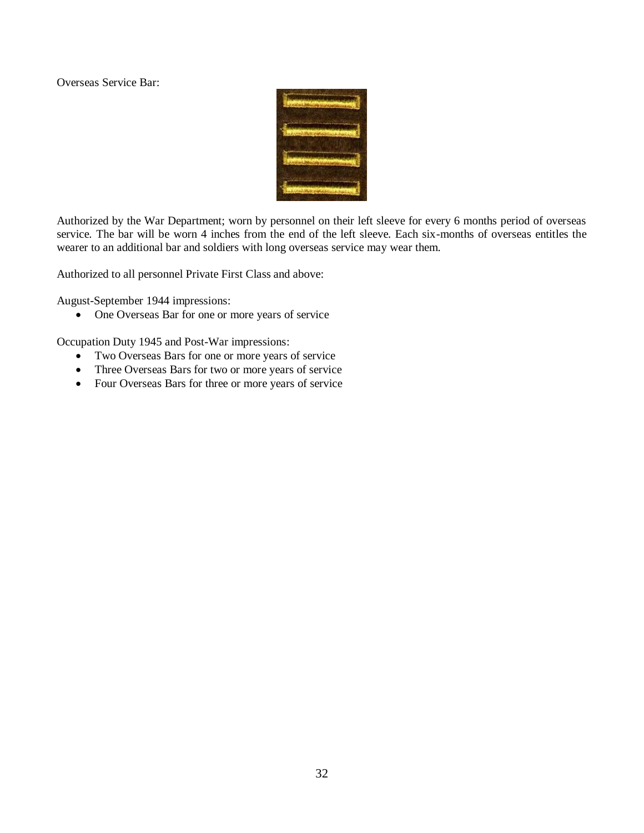Overseas Service Bar:



Authorized by the War Department; worn by personnel on their left sleeve for every 6 months period of overseas service. The bar will be worn 4 inches from the end of the left sleeve. Each six-months of overseas entitles the wearer to an additional bar and soldiers with long overseas service may wear them.

Authorized to all personnel Private First Class and above:

August-September 1944 impressions:

One Overseas Bar for one or more years of service

Occupation Duty 1945 and Post-War impressions:

- Two Overseas Bars for one or more years of service
- Three Overseas Bars for two or more years of service
- Four Overseas Bars for three or more years of service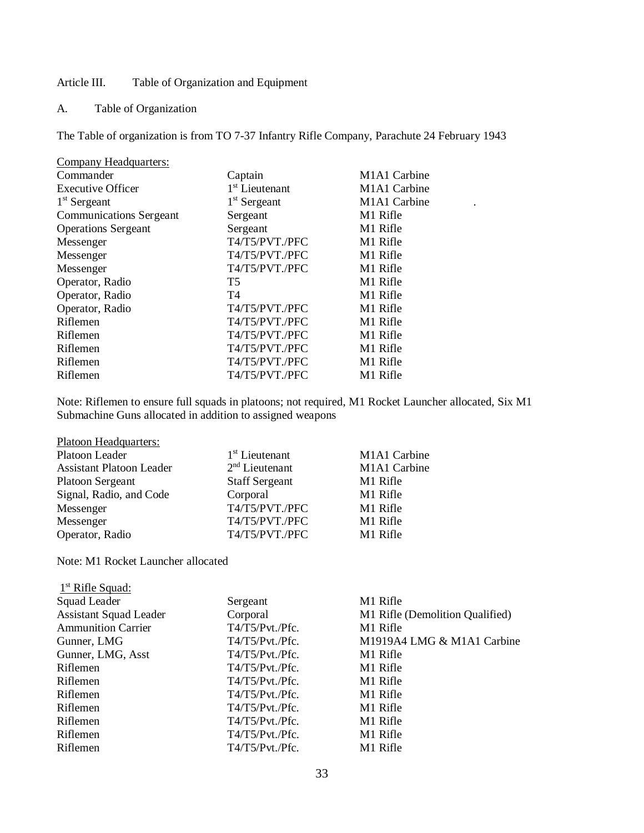# Article III. Table of Organization and Equipment

#### A. Table of Organization

The Table of organization is from TO 7-37 Infantry Rifle Company, Parachute 24 February 1943

| <b>Company Headquarters:</b>   |                            |                                       |
|--------------------------------|----------------------------|---------------------------------------|
| Commander                      | Captain                    | M <sub>1</sub> A <sub>1</sub> Carbine |
| <b>Executive Officer</b>       | 1 <sup>st</sup> Lieutenant | M1A1 Carbine                          |
| $1st$ Sergeant                 | $1st$ Sergeant             | M <sub>1</sub> A <sub>1</sub> Carbine |
| <b>Communications Sergeant</b> | Sergeant                   | M1 Rifle                              |
| <b>Operations Sergeant</b>     | Sergeant                   | M <sub>1</sub> Rifle                  |
| Messenger                      | T4/T5/PVT./PFC             | M1 Rifle                              |
| Messenger                      | T4/T5/PVT./PFC             | M1 Rifle                              |
| Messenger                      | T4/T5/PVT./PFC             | M1 Rifle                              |
| Operator, Radio                | T5                         | M1 Rifle                              |
| Operator, Radio                | T4                         | M <sub>1</sub> Rifle                  |
| Operator, Radio                | T4/T5/PVT./PFC             | M1 Rifle                              |
| Riflemen                       | T4/T5/PVT./PFC             | M1 Rifle                              |
| Riflemen                       | T4/T5/PVT./PFC             | M1 Rifle                              |
| Riflemen                       | T4/T5/PVT./PFC             | M1 Rifle                              |
| Riflemen                       | T4/T5/PVT./PFC             | M1 Rifle                              |
| Riflemen                       | T4/T5/PVT./PFC             | M1 Rifle                              |

Note: Riflemen to ensure full squads in platoons; not required, M1 Rocket Launcher allocated, Six M1 Submachine Guns allocated in addition to assigned weapons

| Platoon Headquarters:           |                       |              |
|---------------------------------|-----------------------|--------------|
| Platoon Leader                  | $1st$ Lieutenant      | M1A1 Carbine |
| <b>Assistant Platoon Leader</b> | $2nd$ Lieutenant      | M1A1 Carbine |
| <b>Platoon Sergeant</b>         | <b>Staff Sergeant</b> | M1 Rifle     |
| Signal, Radio, and Code         | Corporal              | M1 Rifle     |
| Messenger                       | T4/T5/PVT./PFC        | M1 Rifle     |
| Messenger                       | T4/T5/PVT./PFC        | M1 Rifle     |
| Operator, Radio                 | T4/T5/PVT./PFC        | M1 Rifle     |

Note: M1 Rocket Launcher allocated

| $1st$ Rifle Squad:            |                 |                                 |
|-------------------------------|-----------------|---------------------------------|
| Squad Leader                  | Sergeant        | M1 Rifle                        |
| <b>Assistant Squad Leader</b> | Corporal        | M1 Rifle (Demolition Qualified) |
| <b>Ammunition Carrier</b>     | T4/T5/Pvt./Pfc. | M1 Rifle                        |
| Gunner, LMG                   | T4/T5/Pvt.Pfc.  | M1919A4 LMG & M1A1 Carbine      |
| Gunner, LMG, Asst             | T4/T5/Pvt.Pfc.  | M1 Rifle                        |
| Riflemen                      | T4/T5/Pvt.Pfc.  | M1 Rifle                        |
| Riflemen                      | T4/T5/Pvt.Pfc.  | M1 Rifle                        |
| Riflemen                      | T4/T5/Pvt.Pfc.  | M1 Rifle                        |
| Riflemen                      | T4/T5/Pvt.Pfc.  | M1 Rifle                        |
| Riflemen                      | T4/T5/Pvt.Pfc.  | M1 Rifle                        |
| Riflemen                      | T4/T5/Pvt./Pfc. | M1 Rifle                        |
| Riflemen                      | T4/T5/Pvt.Pfc.  | M1 Rifle                        |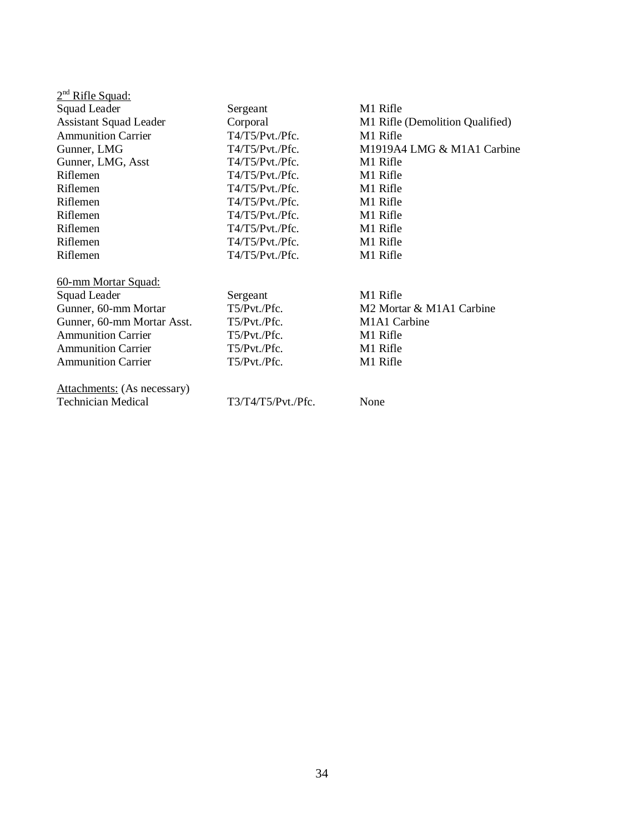| 2 <sup>nd</sup> Rifle Squad:  |                    |                                                               |
|-------------------------------|--------------------|---------------------------------------------------------------|
| Squad Leader                  | Sergeant           | M1 Rifle                                                      |
| <b>Assistant Squad Leader</b> | Corporal           | M1 Rifle (Demolition Qualified)                               |
| <b>Ammunition Carrier</b>     | T4/T5/Pvt./Pfc.    | M <sub>1</sub> Rifle                                          |
| Gunner, LMG                   | T4/T5/Pvt./Pfc.    | M1919A4 LMG & M1A1 Carbine                                    |
| Gunner, LMG, Asst             | T4/T5/Pvt./Pfc.    | M1 Rifle                                                      |
| Riflemen                      | T4/T5/Pvt.Pfc.     | M1 Rifle                                                      |
| Riflemen                      | T4/T5/Pvt.Pfc.     | M1 Rifle                                                      |
| Riflemen                      | T4/T5/Pvt./Pfc.    | M1 Rifle                                                      |
| Riflemen                      | T4/T5/Pvt.Pfc.     | M1 Rifle                                                      |
| Riflemen                      | T4/T5/Pvt.Pfc.     | M1 Rifle                                                      |
| Riflemen                      | T4/T5/Pvt.Pfc.     | M1 Rifle                                                      |
| Riflemen                      | T4/T5/Pvt./Pfc.    | M1 Rifle                                                      |
| 60-mm Mortar Squad:           |                    |                                                               |
| Squad Leader                  | Sergeant           | M1 Rifle                                                      |
| Gunner, 60-mm Mortar          | T5/Pvt./Pfc.       | M <sub>2</sub> Mortar & M <sub>1</sub> A <sub>1</sub> Carbine |
| Gunner, 60-mm Mortar Asst.    | T5/Pvt./Pfc.       | M <sub>1</sub> A <sub>1</sub> Carbine                         |
| <b>Ammunition Carrier</b>     | T5/Pvt./Pfc.       | M1 Rifle                                                      |
| <b>Ammunition Carrier</b>     | T5/Pvt./Pfc.       | M1 Rifle                                                      |
| <b>Ammunition Carrier</b>     | T5/Pvt./Pfc.       | M1 Rifle                                                      |
| Attachments: (As necessary)   |                    |                                                               |
| <b>Technician Medical</b>     | T3/T4/T5/Pvt./Pfc. | None                                                          |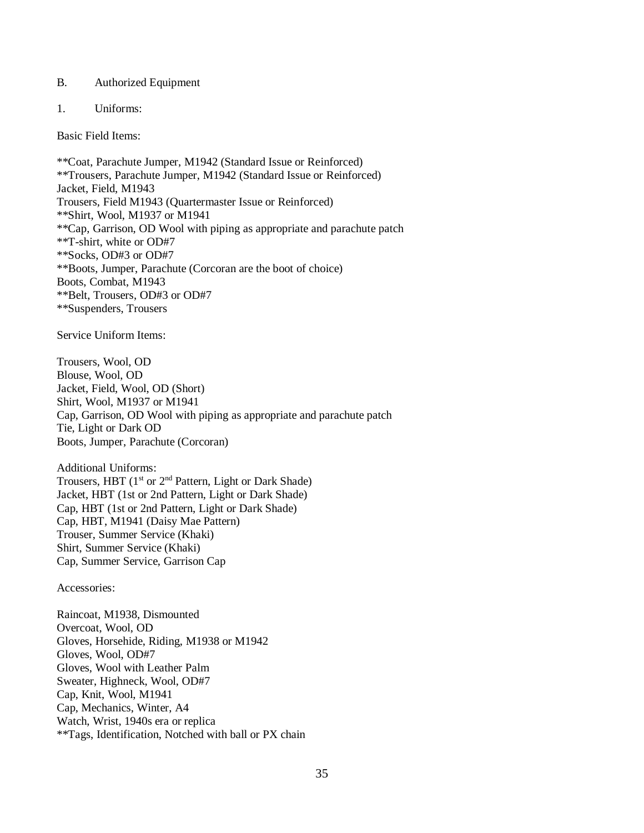#### B. Authorized Equipment

#### 1. Uniforms:

Basic Field Items:

\*\*Coat, Parachute Jumper, M1942 (Standard Issue or Reinforced) \*\*Trousers, Parachute Jumper, M1942 (Standard Issue or Reinforced) Jacket, Field, M1943 Trousers, Field M1943 (Quartermaster Issue or Reinforced) \*\*Shirt, Wool, M1937 or M1941 \*\*Cap, Garrison, OD Wool with piping as appropriate and parachute patch \*\*T-shirt, white or OD#7 \*\*Socks, OD#3 or OD#7 \*\*Boots, Jumper, Parachute (Corcoran are the boot of choice) Boots, Combat, M1943 \*\*Belt, Trousers, OD#3 or OD#7 \*\*Suspenders, Trousers

Service Uniform Items:

Trousers, Wool, OD Blouse, Wool, OD Jacket, Field, Wool, OD (Short) Shirt, Wool, M1937 or M1941 Cap, Garrison, OD Wool with piping as appropriate and parachute patch Tie, Light or Dark OD Boots, Jumper, Parachute (Corcoran)

Additional Uniforms: Trousers, HBT  $(1<sup>st</sup>$  or  $2<sup>nd</sup>$  Pattern, Light or Dark Shade) Jacket, HBT (1st or 2nd Pattern, Light or Dark Shade) Cap, HBT (1st or 2nd Pattern, Light or Dark Shade) Cap, HBT, M1941 (Daisy Mae Pattern) Trouser, Summer Service (Khaki) Shirt, Summer Service (Khaki) Cap, Summer Service, Garrison Cap

Accessories:

Raincoat, M1938, Dismounted Overcoat, Wool, OD Gloves, Horsehide, Riding, M1938 or M1942 Gloves, Wool, OD#7 Gloves, Wool with Leather Palm Sweater, Highneck, Wool, OD#7 Cap, Knit, Wool, M1941 Cap, Mechanics, Winter, A4 Watch, Wrist, 1940s era or replica \*\*Tags, Identification, Notched with ball or PX chain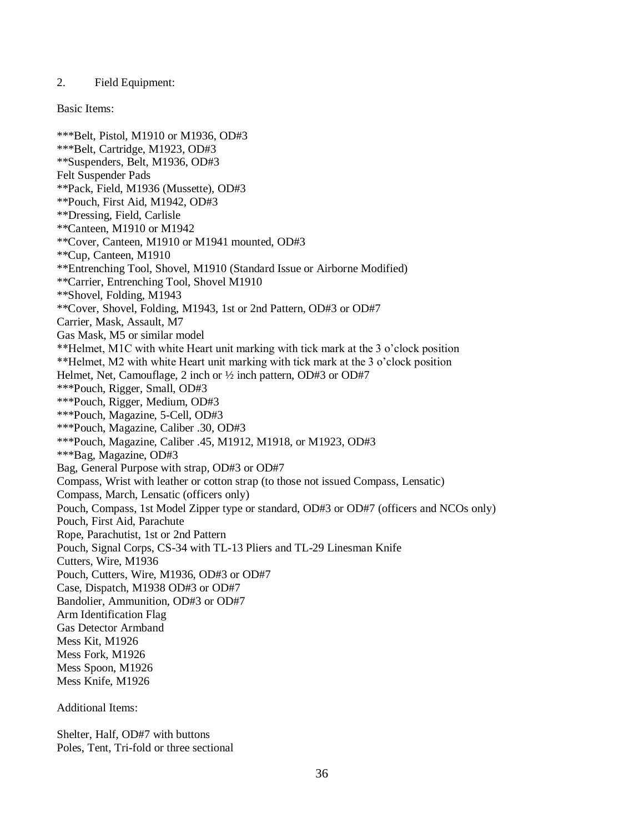#### 2. Field Equipment:

Basic Items:

\*\*\*Belt, Pistol, M1910 or M1936, OD#3 \*\*\*Belt, Cartridge, M1923, OD#3 \*\*Suspenders, Belt, M1936, OD#3 Felt Suspender Pads \*\*Pack, Field, M1936 (Mussette), OD#3 \*\*Pouch, First Aid, M1942, OD#3 \*\*Dressing, Field, Carlisle \*\*Canteen, M1910 or M1942 \*\*Cover, Canteen, M1910 or M1941 mounted, OD#3 \*\*Cup, Canteen, M1910 \*\*Entrenching Tool, Shovel, M1910 (Standard Issue or Airborne Modified) \*\*Carrier, Entrenching Tool, Shovel M1910 \*\*Shovel, Folding, M1943 \*\*Cover, Shovel, Folding, M1943, 1st or 2nd Pattern, OD#3 or OD#7 Carrier, Mask, Assault, M7 Gas Mask, M5 or similar model \*\*Helmet, M1C with white Heart unit marking with tick mark at the 3 o'clock position \*\*Helmet, M2 with white Heart unit marking with tick mark at the 3 o'clock position Helmet, Net, Camouflage, 2 inch or  $\frac{1}{2}$  inch pattern, OD#3 or OD#7 \*\*\*Pouch, Rigger, Small, OD#3 \*\*\*Pouch, Rigger, Medium, OD#3 \*\*\*Pouch, Magazine, 5-Cell, OD#3 \*\*\*Pouch, Magazine, Caliber .30, OD#3 \*\*\*Pouch, Magazine, Caliber .45, M1912, M1918, or M1923, OD#3 \*\*\*Bag, Magazine, OD#3 Bag, General Purpose with strap, OD#3 or OD#7 Compass, Wrist with leather or cotton strap (to those not issued Compass, Lensatic) Compass, March, Lensatic (officers only) Pouch, Compass, 1st Model Zipper type or standard, OD#3 or OD#7 (officers and NCOs only) Pouch, First Aid, Parachute Rope, Parachutist, 1st or 2nd Pattern Pouch, Signal Corps, CS-34 with TL-13 Pliers and TL-29 Linesman Knife Cutters, Wire, M1936 Pouch, Cutters, Wire, M1936, OD#3 or OD#7 Case, Dispatch, M1938 OD#3 or OD#7 Bandolier, Ammunition, OD#3 or OD#7 Arm Identification Flag Gas Detector Armband Mess Kit, M1926 Mess Fork, M1926 Mess Spoon, M1926 Mess Knife, M1926

Additional Items:

Shelter, Half, OD#7 with buttons Poles, Tent, Tri-fold or three sectional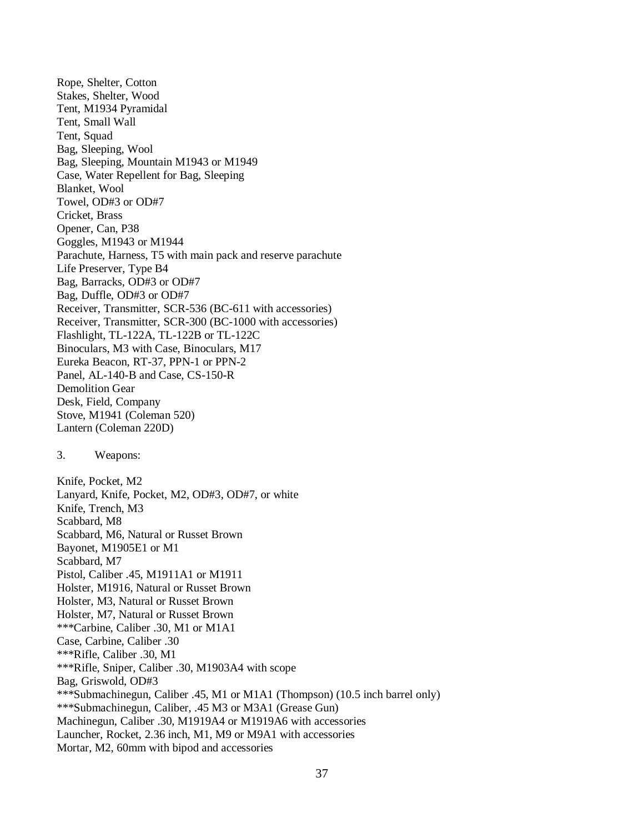Rope, Shelter, Cotton Stakes, Shelter, Wood Tent, M1934 Pyramidal Tent, Small Wall Tent, Squad Bag, Sleeping, Wool Bag, Sleeping, Mountain M1943 or M1949 Case, Water Repellent for Bag, Sleeping Blanket, Wool Towel, OD#3 or OD#7 Cricket, Brass Opener, Can, P38 Goggles, M1943 or M1944 Parachute, Harness, T5 with main pack and reserve parachute Life Preserver, Type B4 Bag, Barracks, OD#3 or OD#7 Bag, Duffle, OD#3 or OD#7 Receiver, Transmitter, SCR-536 (BC-611 with accessories) Receiver, Transmitter, SCR-300 (BC-1000 with accessories) Flashlight, TL-122A, TL-122B or TL-122C Binoculars, M3 with Case, Binoculars, M17 Eureka Beacon, RT-37, PPN-1 or PPN-2 Panel, AL-140-B and Case, CS-150-R Demolition Gear Desk, Field, Company Stove, M1941 (Coleman 520) Lantern (Coleman 220D) 3. Weapons:

Knife, Pocket, M2 Lanyard, Knife, Pocket, M2, OD#3, OD#7, or white Knife, Trench, M3 Scabbard, M8 Scabbard, M6, Natural or Russet Brown Bayonet, M1905E1 or M1 Scabbard, M7 Pistol, Caliber .45, M1911A1 or M1911 Holster, M1916, Natural or Russet Brown Holster, M3, Natural or Russet Brown Holster, M7, Natural or Russet Brown \*\*\*Carbine, Caliber .30, M1 or M1A1 Case, Carbine, Caliber .30 \*\*\*Rifle, Caliber .30, M1 \*\*\*Rifle, Sniper, Caliber .30, M1903A4 with scope Bag, Griswold, OD#3 \*\*\*Submachinegun, Caliber .45, M1 or M1A1 (Thompson) (10.5 inch barrel only) \*\*\*Submachinegun, Caliber, .45 M3 or M3A1 (Grease Gun) Machinegun, Caliber .30, M1919A4 or M1919A6 with accessories Launcher, Rocket, 2.36 inch, M1, M9 or M9A1 with accessories Mortar, M2, 60mm with bipod and accessories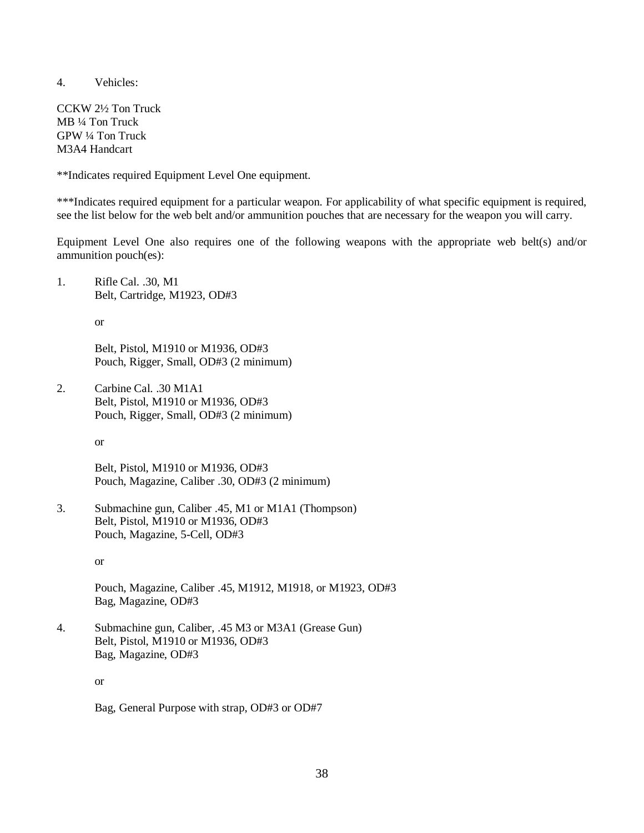4. Vehicles:

CCKW 2½ Ton Truck MB ¼ Ton Truck GPW ¼ Ton Truck M3A4 Handcart

\*\*Indicates required Equipment Level One equipment.

\*\*\*Indicates required equipment for a particular weapon. For applicability of what specific equipment is required, see the list below for the web belt and/or ammunition pouches that are necessary for the weapon you will carry.

Equipment Level One also requires one of the following weapons with the appropriate web belt(s) and/or ammunition pouch(es):

1. Rifle Cal. .30, M1 Belt, Cartridge, M1923, OD#3

or

Belt, Pistol, M1910 or M1936, OD#3 Pouch, Rigger, Small, OD#3 (2 minimum)

2. Carbine Cal. .30 M1A1 Belt, Pistol, M1910 or M1936, OD#3 Pouch, Rigger, Small, OD#3 (2 minimum)

or

Belt, Pistol, M1910 or M1936, OD#3 Pouch, Magazine, Caliber .30, OD#3 (2 minimum)

3. Submachine gun, Caliber .45, M1 or M1A1 (Thompson) Belt, Pistol, M1910 or M1936, OD#3 Pouch, Magazine, 5-Cell, OD#3

or

Pouch, Magazine, Caliber .45, M1912, M1918, or M1923, OD#3 Bag, Magazine, OD#3

4. Submachine gun, Caliber, .45 M3 or M3A1 (Grease Gun) Belt, Pistol, M1910 or M1936, OD#3 Bag, Magazine, OD#3

or

Bag, General Purpose with strap, OD#3 or OD#7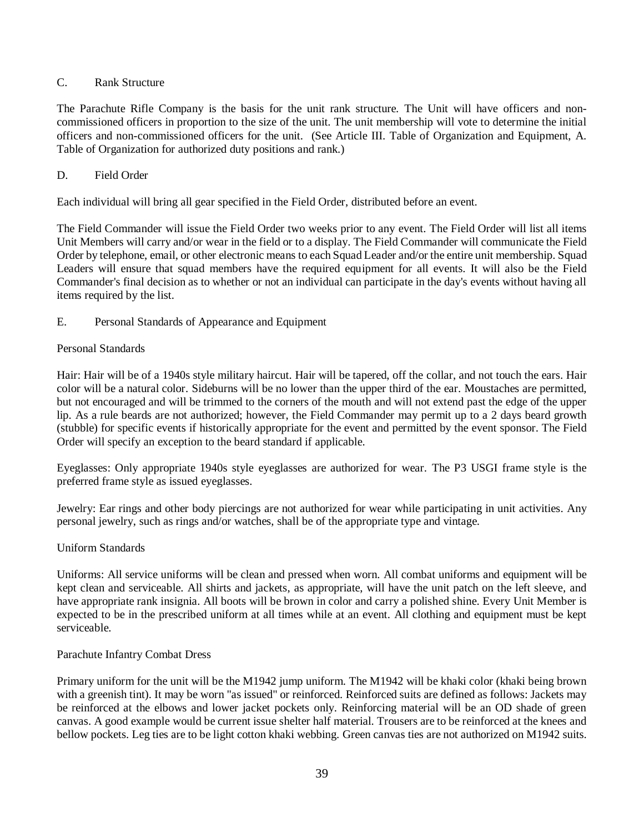#### C. Rank Structure

The Parachute Rifle Company is the basis for the unit rank structure. The Unit will have officers and noncommissioned officers in proportion to the size of the unit. The unit membership will vote to determine the initial officers and non-commissioned officers for the unit. (See Article III. Table of Organization and Equipment, A. Table of Organization for authorized duty positions and rank.)

#### D. Field Order

Each individual will bring all gear specified in the Field Order, distributed before an event.

The Field Commander will issue the Field Order two weeks prior to any event. The Field Order will list all items Unit Members will carry and/or wear in the field or to a display. The Field Commander will communicate the Field Order by telephone, email, or other electronic means to each Squad Leader and/or the entire unit membership. Squad Leaders will ensure that squad members have the required equipment for all events. It will also be the Field Commander's final decision as to whether or not an individual can participate in the day's events without having all items required by the list.

## E. Personal Standards of Appearance and Equipment

#### Personal Standards

Hair: Hair will be of a 1940s style military haircut. Hair will be tapered, off the collar, and not touch the ears. Hair color will be a natural color. Sideburns will be no lower than the upper third of the ear. Moustaches are permitted, but not encouraged and will be trimmed to the corners of the mouth and will not extend past the edge of the upper lip. As a rule beards are not authorized; however, the Field Commander may permit up to a 2 days beard growth (stubble) for specific events if historically appropriate for the event and permitted by the event sponsor. The Field Order will specify an exception to the beard standard if applicable.

Eyeglasses: Only appropriate 1940s style eyeglasses are authorized for wear. The P3 USGI frame style is the preferred frame style as issued eyeglasses.

Jewelry: Ear rings and other body piercings are not authorized for wear while participating in unit activities. Any personal jewelry, such as rings and/or watches, shall be of the appropriate type and vintage.

#### Uniform Standards

Uniforms: All service uniforms will be clean and pressed when worn. All combat uniforms and equipment will be kept clean and serviceable. All shirts and jackets, as appropriate, will have the unit patch on the left sleeve, and have appropriate rank insignia. All boots will be brown in color and carry a polished shine. Every Unit Member is expected to be in the prescribed uniform at all times while at an event. All clothing and equipment must be kept serviceable.

#### Parachute Infantry Combat Dress

Primary uniform for the unit will be the M1942 jump uniform. The M1942 will be khaki color (khaki being brown with a greenish tint). It may be worn "as issued" or reinforced. Reinforced suits are defined as follows: Jackets may be reinforced at the elbows and lower jacket pockets only. Reinforcing material will be an OD shade of green canvas. A good example would be current issue shelter half material. Trousers are to be reinforced at the knees and bellow pockets. Leg ties are to be light cotton khaki webbing. Green canvas ties are not authorized on M1942 suits.